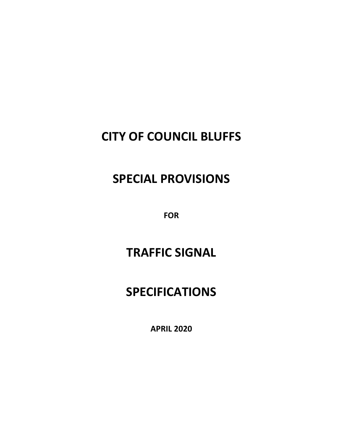## **CITY OF COUNCIL BLUFFS**

## **SPECIAL PROVISIONS**

**FOR** 

# **TRAFFIC SIGNAL**

# **SPECIFICATIONS**

**APRIL 2020**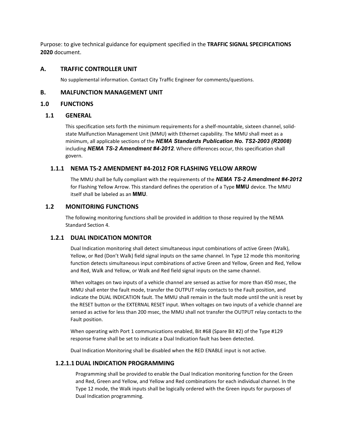Purpose: to give technical guidance for equipment specified in the **TRAFFIC SIGNAL SPECIFICATIONS 2020** document.

## **A. TRAFFIC CONTROLLER UNIT**

No supplemental information. Contact City Traffic Engineer for comments/questions.

## **B. MALFUNCTION MANAGEMENT UNIT**

## **1.0 FUNCTIONS**

## **1.1 GENERAL**

This specification sets forth the minimum requirements for a shelf-mountable, sixteen channel, solidstate Malfunction Management Unit (MMU) with Ethernet capability. The MMU shall meet as a minimum, all applicable sections of the *NEMA Standards Publication No. TS2-2003 (R2008)*  including *NEMA TS-2 Amendment #4-2012*. Where differences occur, this specification shall govern.

## **1.1.1 NEMA TS-2 AMENDMENT #4-2012 FOR FLASHING YELLOW ARROW**

The MMU shall be fully compliant with the requirements of the *NEMA TS-2 Amendment #4-2012*  for Flashing Yellow Arrow. This standard defines the operation of a Type **MMU** device. The MMU itself shall be labeled as an **MMU**.

## **1.2 MONITORING FUNCTIONS**

The following monitoring functions shall be provided in addition to those required by the NEMA Standard Section 4.

## **1.2.1 DUAL INDICATION MONITOR**

Dual Indication monitoring shall detect simultaneous input combinations of active Green (Walk), Yellow, or Red (Don't Walk) field signal inputs on the same channel. In Type 12 mode this monitoring function detects simultaneous input combinations of active Green and Yellow, Green and Red, Yellow and Red, Walk and Yellow, or Walk and Red field signal inputs on the same channel.

When voltages on two inputs of a vehicle channel are sensed as active for more than 450 msec, the MMU shall enter the fault mode, transfer the OUTPUT relay contacts to the Fault position, and indicate the DUAL INDICATION fault. The MMU shall remain in the fault mode until the unit is reset by the RESET button or the EXTERNAL RESET input. When voltages on two inputs of a vehicle channel are sensed as active for less than 200 msec, the MMU shall not transfer the OUTPUT relay contacts to the Fault position.

When operating with Port 1 communications enabled, Bit #68 (Spare Bit #2) of the Type #129 response frame shall be set to indicate a Dual Indication fault has been detected.

Dual Indication Monitoring shall be disabled when the RED ENABLE input is not active.

## **1.2.1.1 DUAL INDICATION PROGRAMMING**

Programming shall be provided to enable the Dual Indication monitoring function for the Green and Red, Green and Yellow, and Yellow and Red combinations for each individual channel. In the Type 12 mode, the Walk inputs shall be logically ordered with the Green inputs for purposes of Dual Indication programming.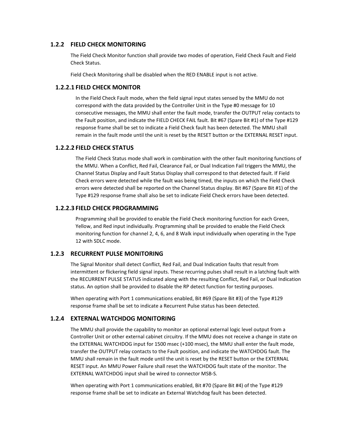## **1.2.2 FIELD CHECK MONITORING**

The Field Check Monitor function shall provide two modes of operation, Field Check Fault and Field Check Status.

Field Check Monitoring shall be disabled when the RED ENABLE input is not active.

## **1.2.2.1 FIELD CHECK MONITOR**

In the Field Check Fault mode, when the field signal input states sensed by the MMU do not correspond with the data provided by the Controller Unit in the Type #0 message for 10 consecutive messages, the MMU shall enter the fault mode, transfer the OUTPUT relay contacts to the Fault position, and indicate the FIELD CHECK FAIL fault. Bit #67 (Spare Bit #1) of the Type #129 response frame shall be set to indicate a Field Check fault has been detected. The MMU shall remain in the fault mode until the unit is reset by the RESET button or the EXTERNAL RESET input.

## **1.2.2.2 FIELD CHECK STATUS**

The Field Check Status mode shall work in combination with the other fault monitoring functions of the MMU. When a Conflict, Red Fail, Clearance Fail, or Dual Indication Fail triggers the MMU, the Channel Status Display and Fault Status Display shall correspond to that detected fault. If Field Check errors were detected while the fault was being timed, the inputs on which the Field Check errors were detected shall be reported on the Channel Status display. Bit #67 (Spare Bit #1) of the Type #129 response frame shall also be set to indicate Field Check errors have been detected.

## **1.2.2.3 FIELD CHECK PROGRAMMING**

Programming shall be provided to enable the Field Check monitoring function for each Green, Yellow, and Red input individually. Programming shall be provided to enable the Field Check monitoring function for channel 2, 4, 6, and 8 Walk input individually when operating in the Type 12 with SDLC mode.

## **1.2.3 RECURRENT PULSE MONITORING**

The Signal Monitor shall detect Conflict, Red Fail, and Dual Indication faults that result from intermittent or flickering field signal inputs. These recurring pulses shall result in a latching fault with the RECURRENT PULSE STATUS indicated along with the resulting Conflict, Red Fail, or Dual Indication status. An option shall be provided to disable the RP detect function for testing purposes.

When operating with Port 1 communications enabled, Bit #69 (Spare Bit #3) of the Type #129 response frame shall be set to indicate a Recurrent Pulse status has been detected.

## **1.2.4 EXTERNAL WATCHDOG MONITORING**

The MMU shall provide the capability to monitor an optional external logic level output from a Controller Unit or other external cabinet circuitry. If the MMU does not receive a change in state on the EXTERNAL WATCHDOG input for 1500 msec (+100 msec), the MMU shall enter the fault mode, transfer the OUTPUT relay contacts to the Fault position, and indicate the WATCHDOG fault. The MMU shall remain in the fault mode until the unit is reset by the RESET button or the EXTERNAL RESET input. An MMU Power Failure shall reset the WATCHDOG fault state of the monitor. The EXTERNAL WATCHDOG input shall be wired to connector MSB-S.

When operating with Port 1 communications enabled, Bit #70 (Spare Bit #4) of the Type #129 response frame shall be set to indicate an External Watchdog fault has been detected.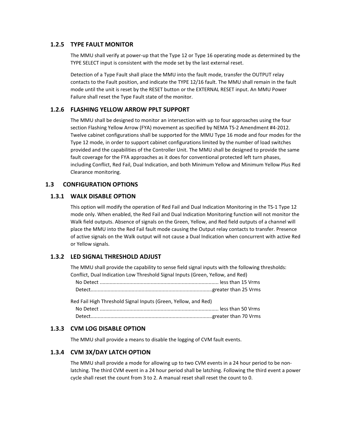## **1.2.5 TYPE FAULT MONITOR**

The MMU shall verify at power-up that the Type 12 or Type 16 operating mode as determined by the TYPE SELECT input is consistent with the mode set by the last external reset.

Detection of a Type Fault shall place the MMU into the fault mode, transfer the OUTPUT relay contacts to the Fault position, and indicate the TYPE 12/16 fault. The MMU shall remain in the fault mode until the unit is reset by the RESET button or the EXTERNAL RESET input. An MMU Power Failure shall reset the Type Fault state of the monitor.

#### **1.2.6 FLASHING YELLOW ARROW PPLT SUPPORT**

The MMU shall be designed to monitor an intersection with up to four approaches using the four section Flashing Yellow Arrow (FYA) movement as specified by NEMA TS-2 Amendment #4-2012. Twelve cabinet configurations shall be supported for the MMU Type 16 mode and four modes for the Type 12 mode, in order to support cabinet configurations limited by the number of load switches provided and the capabilities of the Controller Unit. The MMU shall be designed to provide the same fault coverage for the FYA approaches as it does for conventional protected left turn phases, including Conflict, Red Fail, Dual Indication, and both Minimum Yellow and Minimum Yellow Plus Red Clearance monitoring.

#### **1.3 CONFIGURATION OPTIONS**

#### **1.3.1 WALK DISABLE OPTION**

This option will modify the operation of Red Fail and Dual Indication Monitoring in the TS-1 Type 12 mode only. When enabled, the Red Fail and Dual Indication Monitoring function will not monitor the Walk field outputs. Absence of signals on the Green, Yellow, and Red field outputs of a channel will place the MMU into the Red Fail fault mode causing the Output relay contacts to transfer. Presence of active signals on the Walk output will not cause a Dual Indication when concurrent with active Red or Yellow signals.

#### **1.3.2 LED SIGNAL THRESHOLD ADJUST**

The MMU shall provide the capability to sense field signal inputs with the following thresholds: Conflict, Dual Indication Low Threshold Signal Inputs (Green, Yellow, and Red)

Red Fail High Threshold Signal Inputs (Green, Yellow, and Red) No Detect .................................................................................... less than 50 Vrms Detect......................................................................................greater than 70 Vrms

## **1.3.3 CVM LOG DISABLE OPTION**

The MMU shall provide a means to disable the logging of CVM fault events.

#### **1.3.4 CVM 3X/DAY LATCH OPTION**

The MMU shall provide a mode for allowing up to two CVM events in a 24 hour period to be nonlatching. The third CVM event in a 24 hour period shall be latching. Following the third event a power cycle shall reset the count from 3 to 2. A manual reset shall reset the count to 0.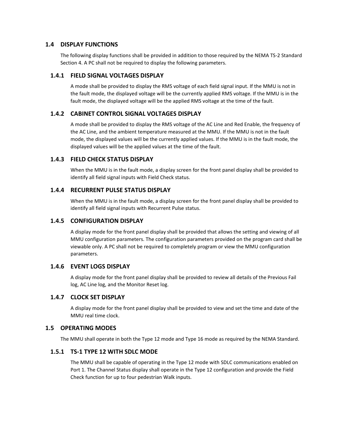#### **1.4 DISPLAY FUNCTIONS**

The following display functions shall be provided in addition to those required by the NEMA TS-2 Standard Section 4. A PC shall not be required to display the following parameters.

#### **1.4.1 FIELD SIGNAL VOLTAGES DISPLAY**

A mode shall be provided to display the RMS voltage of each field signal input. If the MMU is not in the fault mode, the displayed voltage will be the currently applied RMS voltage. If the MMU is in the fault mode, the displayed voltage will be the applied RMS voltage at the time of the fault.

#### **1.4.2 CABINET CONTROL SIGNAL VOLTAGES DISPLAY**

A mode shall be provided to display the RMS voltage of the AC Line and Red Enable, the frequency of the AC Line, and the ambient temperature measured at the MMU. If the MMU is not in the fault mode, the displayed values will be the currently applied values. If the MMU is in the fault mode, the displayed values will be the applied values at the time of the fault.

#### **1.4.3 FIELD CHECK STATUS DISPLAY**

When the MMU is in the fault mode, a display screen for the front panel display shall be provided to identify all field signal inputs with Field Check status.

#### **1.4.4 RECURRENT PULSE STATUS DISPLAY**

When the MMU is in the fault mode, a display screen for the front panel display shall be provided to identify all field signal inputs with Recurrent Pulse status.

#### **1.4.5 CONFIGURATION DISPLAY**

A display mode for the front panel display shall be provided that allows the setting and viewing of all MMU configuration parameters. The configuration parameters provided on the program card shall be viewable only. A PC shall not be required to completely program or view the MMU configuration parameters.

## **1.4.6 EVENT LOGS DISPLAY**

A display mode for the front panel display shall be provided to review all details of the Previous Fail log, AC Line log, and the Monitor Reset log.

## **1.4.7 CLOCK SET DISPLAY**

A display mode for the front panel display shall be provided to view and set the time and date of the MMU real time clock.

#### **1.5 OPERATING MODES**

The MMU shall operate in both the Type 12 mode and Type 16 mode as required by the NEMA Standard.

#### **1.5.1 TS-1 TYPE 12 WITH SDLC MODE**

The MMU shall be capable of operating in the Type 12 mode with SDLC communications enabled on Port 1. The Channel Status display shall operate in the Type 12 configuration and provide the Field Check function for up to four pedestrian Walk inputs.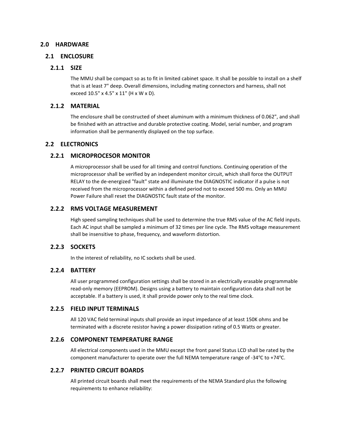## **2.0 HARDWARE**

#### **2.1 ENCLOSURE**

## **2.1.1 SIZE**

The MMU shall be compact so as to fit in limited cabinet space. It shall be possible to install on a shelf that is at least 7" deep. Overall dimensions, including mating connectors and harness, shall not exceed 10.5" x 4.5" x 11" (H x W x D).

## **2.1.2 MATERIAL**

The enclosure shall be constructed of sheet aluminum with a minimum thickness of 0.062", and shall be finished with an attractive and durable protective coating. Model, serial number, and program information shall be permanently displayed on the top surface.

## **2.2 ELECTRONICS**

## **2.2.1 MICROPROCESOR MONITOR**

A microprocessor shall be used for all timing and control functions. Continuing operation of the microprocessor shall be verified by an independent monitor circuit, which shall force the OUTPUT RELAY to the de-energized "fault" state and illuminate the DIAGNOSTIC indicator if a pulse is not received from the microprocessor within a defined period not to exceed 500 ms. Only an MMU Power Failure shall reset the DIAGNOSTIC fault state of the monitor.

#### **2.2.2 RMS VOLTAGE MEASUREMENT**

High speed sampling techniques shall be used to determine the true RMS value of the AC field inputs. Each AC input shall be sampled a minimum of 32 times per line cycle. The RMS voltage measurement shall be insensitive to phase, frequency, and waveform distortion.

## **2.2.3 SOCKETS**

In the interest of reliability, no IC sockets shall be used.

#### **2.2.4 BATTERY**

All user programmed configuration settings shall be stored in an electrically erasable programmable read-only memory (EEPROM). Designs using a battery to maintain configuration data shall not be acceptable. If a battery is used, it shall provide power only to the real time clock.

## **2.2.5 FIELD INPUT TERMINALS**

All 120 VAC field terminal inputs shall provide an input impedance of at least 150K ohms and be terminated with a discrete resistor having a power dissipation rating of 0.5 Watts or greater.

#### **2.2.6 COMPONENT TEMPERATURE RANGE**

All electrical components used in the MMU except the front panel Status LCD shall be rated by the component manufacturer to operate over the full NEMA temperature range of -34 $\degree$ C to +74 $\degree$ C.

## **2.2.7 PRINTED CIRCUIT BOARDS**

All printed circuit boards shall meet the requirements of the NEMA Standard plus the following requirements to enhance reliability: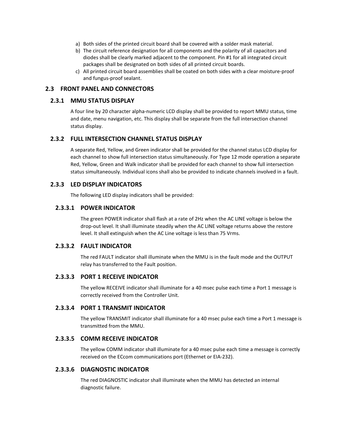- a) Both sides of the printed circuit board shall be covered with a solder mask material.
- b) The circuit reference designation for all components and the polarity of all capacitors and diodes shall be clearly marked adjacent to the component. Pin #1 for all integrated circuit packages shall be designated on both sides of all printed circuit boards.
- c) All printed circuit board assemblies shall be coated on both sides with a clear moisture-proof and fungus-proof sealant.

## **2.3 FRONT PANEL AND CONNECTORS**

#### **2.3.1 MMU STATUS DISPLAY**

A four line by 20 character alpha-numeric LCD display shall be provided to report MMU status, time and date, menu navigation, etc. This display shall be separate from the full intersection channel status display.

## **2.3.2 FULL INTERSECTION CHANNEL STATUS DISPLAY**

A separate Red, Yellow, and Green indicator shall be provided for the channel status LCD display for each channel to show full intersection status simultaneously. For Type 12 mode operation a separate Red, Yellow, Green and Walk indicator shall be provided for each channel to show full intersection status simultaneously. Individual icons shall also be provided to indicate channels involved in a fault.

#### **2.3.3 LED DISPLAY INDICATORS**

The following LED display indicators shall be provided:

## **2.3.3.1 POWER INDICATOR**

The green POWER indicator shall flash at a rate of 2Hz when the AC LINE voltage is below the drop-out level. It shall illuminate steadily when the AC LINE voltage returns above the restore level. It shall extinguish when the AC Line voltage is less than 75 Vrms.

#### **2.3.3.2 FAULT INDICATOR**

The red FAULT indicator shall illuminate when the MMU is in the fault mode and the OUTPUT relay has transferred to the Fault position.

#### **2.3.3.3 PORT 1 RECEIVE INDICATOR**

The yellow RECEIVE indicator shall illuminate for a 40 msec pulse each time a Port 1 message is correctly received from the Controller Unit.

#### **2.3.3.4 PORT 1 TRANSMIT INDICATOR**

The yellow TRANSMIT indicator shall illuminate for a 40 msec pulse each time a Port 1 message is transmitted from the MMU.

#### **2.3.3.5 COMM RECEIVE INDICATOR**

The yellow COMM indicator shall illuminate for a 40 msec pulse each time a message is correctly received on the ECcom communications port (Ethernet or EIA-232).

#### **2.3.3.6 DIAGNOSTIC INDICATOR**

The red DIAGNOSTIC indicator shall illuminate when the MMU has detected an internal diagnostic failure.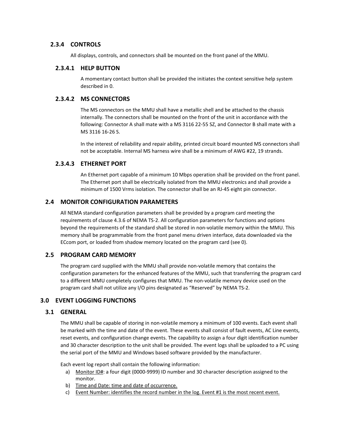## **2.3.4 CONTROLS**

All displays, controls, and connectors shall be mounted on the front panel of the MMU.

#### **2.3.4.1 HELP BUTTON**

A momentary contact button shall be provided the initiates the context sensitive help system described in 0.

## **2.3.4.2 MS CONNECTORS**

The MS connectors on the MMU shall have a metallic shell and be attached to the chassis internally. The connectors shall be mounted on the front of the unit in accordance with the following: Connector A shall mate with a MS 3116 22-55 SZ, and Connector B shall mate with a MS 3116 16-26 S.

In the interest of reliability and repair ability, printed circuit board mounted MS connectors shall not be acceptable. Internal MS harness wire shall be a minimum of AWG #22, 19 strands.

## **2.3.4.3 ETHERNET PORT**

An Ethernet port capable of a minimum 10 Mbps operation shall be provided on the front panel. The Ethernet port shall be electrically isolated from the MMU electronics and shall provide a minimum of 1500 Vrms isolation. The connector shall be an RJ-45 eight pin connector.

## **2.4 MONITOR CONFIGURATION PARAMETERS**

All NEMA standard configuration parameters shall be provided by a program card meeting the requirements of clause 4.3.6 of NEMA TS-2. All configuration parameters for functions and options beyond the requirements of the standard shall be stored in non-volatile memory within the MMU. This memory shall be programmable from the front panel menu driven interface, data downloaded via the ECcom port, or loaded from shadow memory located on the program card (see 0).

## **2.5 PROGRAM CARD MEMORY**

The program card supplied with the MMU shall provide non-volatile memory that contains the configuration parameters for the enhanced features of the MMU, such that transferring the program card to a different MMU completely configures that MMU. The non-volatile memory device used on the program card shall not utilize any I/O pins designated as "Reserved" by NEMA TS-2.

## **3.0 EVENT LOGGING FUNCTIONS**

## **3.1 GENERAL**

The MMU shall be capable of storing in non-volatile memory a minimum of 100 events. Each event shall be marked with the time and date of the event. These events shall consist of fault events, AC Line events, reset events, and configuration change events. The capability to assign a four digit identification number and 30 character description to the unit shall be provided. The event logs shall be uploaded to a PC using the serial port of the MMU and Windows based software provided by the manufacturer.

Each event log report shall contain the following information:

- a) Monitor ID#: a four digit (0000-9999) ID number and 30 character description assigned to the monitor.
- b) Time and Date: time and date of occurrence.
- c) Event Number: identifies the record number in the log. Event #1 is the most recent event.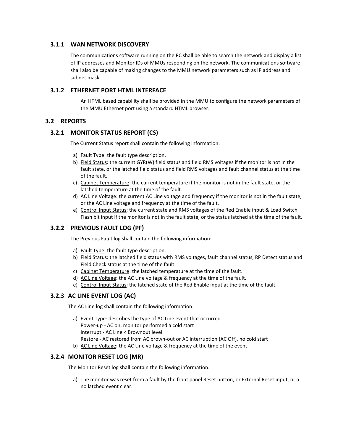## **3.1.1 WAN NETWORK DISCOVERY**

The communications software running on the PC shall be able to search the network and display a list of IP addresses and Monitor IDs of MMUs responding on the network. The communications software shall also be capable of making changes to the MMU network parameters such as IP address and subnet mask.

## **3.1.2 ETHERNET PORT HTML INTERFACE**

An HTML based capability shall be provided in the MMU to configure the network parameters of the MMU Ethernet port using a standard HTML browser.

## **3.2 REPORTS**

## **3.2.1 MONITOR STATUS REPORT (CS)**

The Current Status report shall contain the following information:

- a) Fault Type: the fault type description.
- b) Field Status: the current GYR(W) field status and field RMS voltages if the monitor is not in the fault state, or the latched field status and field RMS voltages and fault channel status at the time of the fault.
- c) Cabinet Temperature: the current temperature if the monitor is not in the fault state, or the latched temperature at the time of the fault.
- d) AC Line Voltage: the current AC Line voltage and frequency if the monitor is not in the fault state, or the AC Line voltage and frequency at the time of the fault.
- e) Control Input Status: the current state and RMS voltages of the Red Enable input & Load Switch Flash bit input if the monitor is not in the fault state, or the status latched at the time of the fault.

## **3.2.2 PREVIOUS FAULT LOG (PF)**

The Previous Fault log shall contain the following information:

- a) Fault Type: the fault type description.
- b) Field Status: the latched field status with RMS voltages, fault channel status, RP Detect status and Field Check status at the time of the fault.
- c) Cabinet Temperature: the latched temperature at the time of the fault.
- d) AC Line Voltage: the AC Line voltage & frequency at the time of the fault.
- e) Control Input Status: the latched state of the Red Enable input at the time of the fault.

## **3.2.3 AC LINE EVENT LOG (AC)**

The AC Line log shall contain the following information:

a) Event Type: describes the type of AC Line event that occurred. Power-up - AC on, monitor performed a cold start Interrupt - AC Line < Brownout level Restore - AC restored from AC brown-out or AC interruption (AC Off), no cold start b) AC Line Voltage: the AC Line voltage & frequency at the time of the event.

## **3.2.4 MONITOR RESET LOG (MR)**

The Monitor Reset log shall contain the following information:

a) The monitor was reset from a fault by the front panel Reset button, or External Reset input, or a no latched event clear.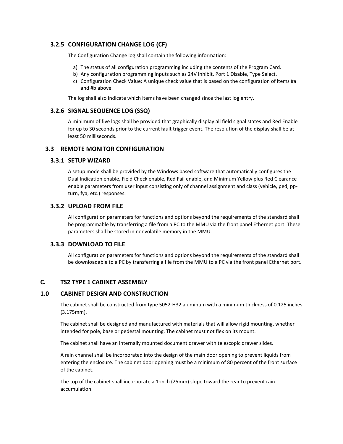## **3.2.5 CONFIGURATION CHANGE LOG (CF)**

The Configuration Change log shall contain the following information:

- a) The status of all configuration programming including the contents of the Program Card.
- b) Any configuration programming inputs such as 24V Inhibit, Port 1 Disable, Type Select.
- c) Configuration Check Value: A unique check value that is based on the configuration of items #a and #b above.

The log shall also indicate which items have been changed since the last log entry.

## **3.2.6 SIGNAL SEQUENCE LOG (SSQ)**

A minimum of five logs shall be provided that graphically display all field signal states and Red Enable for up to 30 seconds prior to the current fault trigger event. The resolution of the display shall be at least 50 milliseconds.

#### **3.3 REMOTE MONITOR CONFIGURATION**

#### **3.3.1 SETUP WIZARD**

A setup mode shall be provided by the Windows based software that automatically configures the Dual Indication enable, Field Check enable, Red Fail enable, and Minimum Yellow plus Red Clearance enable parameters from user input consisting only of channel assignment and class (vehicle, ped, ppturn, fya, etc.) responses.

#### **3.3.2 UPLOAD FROM FILE**

All configuration parameters for functions and options beyond the requirements of the standard shall be programmable by transferring a file from a PC to the MMU via the front panel Ethernet port. These parameters shall be stored in nonvolatile memory in the MMU.

#### **3.3.3 DOWNLOAD TO FILE**

All configuration parameters for functions and options beyond the requirements of the standard shall be downloadable to a PC by transferring a file from the MMU to a PC via the front panel Ethernet port.

## **C. TS2 TYPE 1 CABINET ASSEMBLY**

## **1.0 CABINET DESIGN AND CONSTRUCTION**

The cabinet shall be constructed from type 5052-H32 aluminum with a minimum thickness of 0.125 inches (3.175mm).

The cabinet shall be designed and manufactured with materials that will allow rigid mounting, whether intended for pole, base or pedestal mounting. The cabinet must not flex on its mount.

The cabinet shall have an internally mounted document drawer with telescopic drawer slides.

A rain channel shall be incorporated into the design of the main door opening to prevent liquids from entering the enclosure. The cabinet door opening must be a minimum of 80 percent of the front surface of the cabinet.

The top of the cabinet shall incorporate a 1-inch (25mm) slope toward the rear to prevent rain accumulation.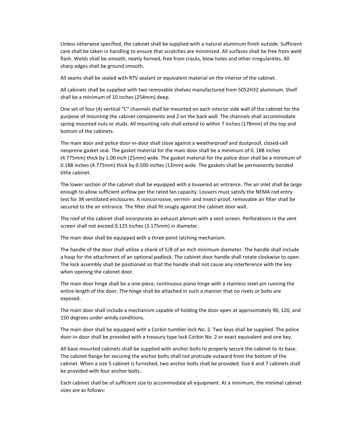Unless otherwise specified, the cabinet shall be supplied with a natural aluminum finish outside. Sufficient care shall be taken in handling to ensure that scratches are minimized. All surfaces shall be free from weld flash. Welds shall be smooth, neatly formed, free from cracks, blow holes and other irregularities. All sharp edges shall be ground smooth.

All seams shall be sealed with RTV sealant or equivalent material on the interior of the cabinet.

All cabinets shall be supplied with two removable shelves manufactured from 5052H32 aluminum. Shelf shall be a minimum of 10 inches (254mm) deep.

One set of four (4) vertical "C" channels shall be mounted on each interior side wall of the cabinet for the purpose of mounting the cabinet components and 2 on the back wall. The channels shall accommodate spring mounted nuts or studs. All mounting rails shall extend to within 7 inches (178mm) of the top and bottom of the cabinets.

The main door and police door-in-door shall close against a weatherproof and dustproof, closed-cell neoprene gasket seal. The gasket material for the main door shall be a minimum of 0. 188 inches (4.775mm) thick by 1.00 inch (25mm) wide. The gasket material for the police door shall be a minimum of 0.188 inches (4.775mm) thick by 0.500 inches (13mm) wide. The gaskets shall be permanently bonded tithe cabinet.

The lower section of the cabinet shall be equipped with a louvered air entrance. The air inlet shall be large enough to allow sufficient airflow per the rated fan capacity. Louvers must satisfy the NEMA rod entry test for 3R ventilated enclosures. A noncorrosive, vermin- and insect-proof, removable air filter shall be secured to the air entrance. The filter shall fit snugly against the cabinet door wall.

The roof of the cabinet shall incorporate an exhaust plenum with a vent screen. Perforations in the vent screen shall not exceed 0.125 inches (3.175mm) in diameter.

The main door shall be equipped with a three-point latching mechanism.

The handle of the door shall utilize a shank of 5/8 of an inch minimum diameter. The handle shall include a hasp for the attachment of an optional padlock. The cabinet door handle shall rotate clockwise to open. The lock assembly shall be positioned so that the handle shall not cause any interference with the key when opening the cabinet door.

The main door hinge shall be a one-piece, continuous piano hinge with a stainless steel pin running the entire length of the door. The hinge shall be attached in such a manner that no rivets or bolts are exposed.

The main door shall include a mechanism capable of holding the door open at approximately 90, 120, and 150 degrees under windy conditions.

The main door shall be equipped with a Corbin tumbler lock No. 2. Two keys shall be supplied. The police door-in-door shall be provided with a treasury type lock Corbin No. 2 or exact equivalent and one key.

All base mounted cabinets shall be supplied with anchor bolts to properly secure the cabinet to its base. The cabinet flange for securing the anchor bolts shall not protrude outward from the bottom of the cabinet. When a size 5 cabinet is furnished, two anchor bolts shall be provided. Size 6 and 7 cabinets shall be provided with four anchor bolts.

Each cabinet shall be of sufficient size to accommodate all equipment. At a minimum, the minimal cabinet sizes are as follows: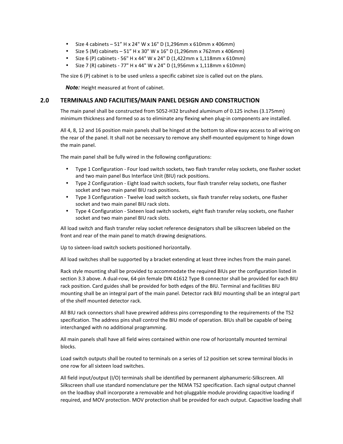- Size 4 cabinets  $51''$  H x 24" W x 16" D (1,296mm x 610mm x 406mm)
- Size 5 (M) cabinets 51" H x 30" W x 16" D (1,296mm x 762mm x 406mm)
- Size 6 (P) cabinets 56" H x 44" W x 24" D (1,422mm x 1,118mm x 610mm)
- Size 7 (R) cabinets 77" H x 44" W x 24" D (1,956mm x 1,118mm x 610mm)

The size 6 (P) cabinet is to be used unless a specific cabinet size is called out on the plans.

*Note:* Height measured at front of cabinet.

#### **2.0 TERMINALS AND FACILITIES/MAIN PANEL DESIGN AND CONSTRUCTION**

The main panel shall be constructed from 5052-H32 brushed aluminum of 0.125 inches (3.175mm) minimum thickness and formed so as to eliminate any flexing when plug-in components are installed.

All 4, 8, 12 and 16 position main panels shall be hinged at the bottom to allow easy access to all wiring on the rear of the panel. It shall not be necessary to remove any shelf-mounted equipment to hinge down the main panel.

The main panel shall be fully wired in the following configurations:

- Type 1 Configuration Four load switch sockets, two flash transfer relay sockets, one flasher socket and two main panel Bus Interface Unit (BIU) rack positions.
- Type 2 Configuration Eight load switch sockets, four flash transfer relay sockets, one flasher socket and two main panel BIU rack positions.
- Type 3 Configuration Twelve load switch sockets, six flash transfer relay sockets, one flasher socket and two main panel BIU rack slots.
- Type 4 Configuration Sixteen load switch sockets, eight flash transfer relay sockets, one flasher socket and two main panel BIU rack slots.

All load switch and flash transfer relay socket reference designators shall be silkscreen labeled on the front and rear of the main panel to match drawing designations.

Up to sixteen-load switch sockets positioned horizontally.

All load switches shall be supported by a bracket extending at least three inches from the main panel.

Rack style mounting shall be provided to accommodate the required BIUs per the configuration listed in section 3.3 above. A dual-row, 64-pin female DIN 41612 Type B connector shall be provided for each BIU rack position. Card guides shall be provided for both edges of the BIU. Terminal and facilities BIU mounting shall be an integral part of the main panel. Detector rack BIU mounting shall be an integral part of the shelf mounted detector rack.

All BIU rack connectors shall have prewired address pins corresponding to the requirements of the TS2 specification. The address pins shall control the BIU mode of operation. BIUs shall be capable of being interchanged with no additional programming.

All main panels shall have all field wires contained within one row of horizontally mounted terminal blocks.

Load switch outputs shall be routed to terminals on a series of 12 position set screw terminal blocks in one row for all sixteen load switches.

All field input/output (I/O) terminals shall be identified by permanent alphanumeric-Silkscreen. All Silkscreen shall use standard nomenclature per the NEMA TS2 specification. Each signal output channel on the loadbay shall incorporate a removable and hot-pluggable module providing capacitive loading if required, and MOV protection. MOV protection shall be provided for each output. Capacitive loading shall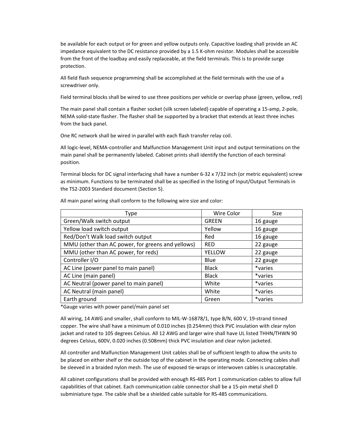be available for each output or for green and yellow outputs only. Capacitive loading shall provide an AC impedance equivalent to the DC resistance provided by a 1.5 K-ohm resistor. Modules shall be accessible from the front of the loadbay and easily replaceable, at the field terminals. This is to provide surge protection.

All field flash sequence programming shall be accomplished at the field terminals with the use of a screwdriver only.

Field terminal blocks shall be wired to use three positions per vehicle or overlap phase (green, yellow, red)

The main panel shall contain a flasher socket (silk screen labeled) capable of operating a 15-amp, 2-pole, NEMA solid-state flasher. The flasher shall be supported by a bracket that extends at least three inches from the back panel.

One RC network shall be wired in parallel with each flash transfer relay coil.

All logic-level, NEMA-controller and Malfunction Management Unit input and output terminations on the main panel shall be permanently labeled. Cabinet prints shall identify the function of each terminal position.

Terminal blocks for DC signal interfacing shall have a number 6-32 x 7/32 inch (or metric equivalent) screw as minimum. Functions to be terminated shall be as specified in the listing of Input/Output Terminals in the TS2-2003 Standard document (Section 5).

| Type                                              | Wire Color   | <b>Size</b> |
|---------------------------------------------------|--------------|-------------|
| Green/Walk switch output                          | <b>GREEN</b> | 16 gauge    |
| Yellow load switch output                         | Yellow       | 16 gauge    |
| Red/Don't Walk load switch output                 | Red          | 16 gauge    |
| MMU (other than AC power, for greens and yellows) | <b>RED</b>   | 22 gauge    |
| MMU (other than AC power, for reds)               | YELLOW       | 22 gauge    |
| Controller I/O                                    | Blue         | 22 gauge    |
| AC Line (power panel to main panel)               | <b>Black</b> | *varies     |
| AC Line (main panel)                              | <b>Black</b> | *varies     |
| AC Neutral (power panel to main panel)            | White        | *varies     |
| AC Neutral (main panel)                           | White        | *varies     |
| Earth ground                                      | Green        | *varies     |

All main panel wiring shall conform to the following wire size and color:

\*Gauge varies with power panel/main panel set

All wiring, 14 AWG and smaller, shall conform to MIL-W-16878/1, type B/N, 600 V, 19-strand tinned copper. The wire shall have a minimum of 0.010 inches (0.254mm) thick PVC insulation with clear nylon jacket and rated to 105 degrees Celsius. All 12 AWG and larger wire shall have UL listed THHN/THWN 90 degrees Celsius, 600V, 0.020 inches (0.508mm) thick PVC insulation and clear nylon jacketed.

All controller and Malfunction Management Unit cables shall be of sufficient length to allow the units to be placed on either shelf or the outside top of the cabinet in the operating mode. Connecting cables shall be sleeved in a braided nylon mesh. The use of exposed tie-wraps or interwoven cables is unacceptable.

All cabinet configurations shall be provided with enough RS-485 Port 1 communication cables to allow full capabilities of that cabinet. Each communication cable connector shall be a 15-pin metal shell D subminiature type. The cable shall be a shielded cable suitable for RS-485 communications.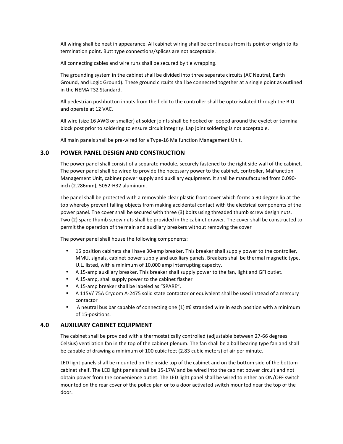All wiring shall be neat in appearance. All cabinet wiring shall be continuous from its point of origin to its termination point. Butt type connections/splices are not acceptable.

All connecting cables and wire runs shall be secured by tie wrapping.

The grounding system in the cabinet shall be divided into three separate circuits (AC Neutral, Earth Ground, and Logic Ground). These ground circuits shall be connected together at a single point as outlined in the NEMA TS2 Standard.

All pedestrian pushbutton inputs from the field to the controller shall be opto-isolated through the BIU and operate at 12 VAC.

All wire (size 16 AWG or smaller) at solder joints shall be hooked or looped around the eyelet or terminal block post prior to soldering to ensure circuit integrity. Lap joint soldering is not acceptable.

All main panels shall be pre-wired for a Type-16 Malfunction Management Unit.

#### **3.0 POWER PANEL DESIGN AND CONSTRUCTION**

The power panel shall consist of a separate module, securely fastened to the right side wall of the cabinet. The power panel shall be wired to provide the necessary power to the cabinet, controller, Malfunction Management Unit, cabinet power supply and auxiliary equipment. It shall be manufactured from 0.090 inch (2.286mm), 5052-H32 aluminum.

The panel shall be protected with a removable clear plastic front cover which forms a 90 degree lip at the top whereby prevent falling objects from making accidental contact with the electrical components of the power panel. The cover shall be secured with three (3) bolts using threaded thumb screw design nuts. Two (2) spare thumb screw nuts shall be provided in the cabinet drawer. The cover shall be constructed to permit the operation of the main and auxiliary breakers without removing the cover

The power panel shall house the following components:

- 16 position cabinets shall have 30-amp breaker. This breaker shall supply power to the controller, MMU, signals, cabinet power supply and auxiliary panels. Breakers shall be thermal magnetic type, U.L. listed, with a minimum of 10,000 amp interrupting capacity.
- A 15-amp auxiliary breaker. This breaker shall supply power to the fan, light and GFI outlet.
- A 15-amp, shall supply power to the cabinet flasher
- A 15-amp breaker shall be labeled as "SPARE".
- A 115V/ 75A Crydom A-2475 solid state contactor or equivalent shall be used instead of a mercury contactor
- A neutral bus bar capable of connecting one (1) #6 stranded wire in each position with a minimum of 15-positions.

#### **4.0 AUXILIARY CABINET EQUIPMENT**

The cabinet shall be provided with a thermostatically controlled (adjustable between 27-66 degrees Celsius) ventilation fan in the top of the cabinet plenum. The fan shall be a ball bearing type fan and shall be capable of drawing a minimum of 100 cubic feet (2.83 cubic meters) of air per minute.

LED light panels shall be mounted on the inside top of the cabinet and on the bottom side of the bottom cabinet shelf. The LED light panels shall be 15-17W and be wired into the cabinet power circuit and not obtain power from the convenience outlet. The LED light panel shall be wired to either an ON/OFF switch mounted on the rear cover of the police plan or to a door activated switch mounted near the top of the door.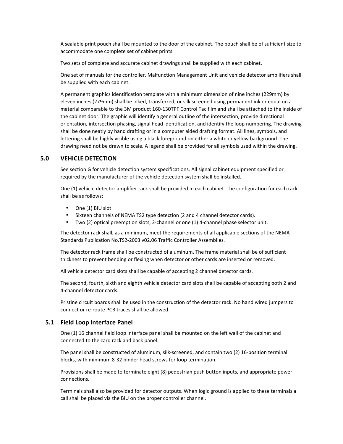A sealable print pouch shall be mounted to the door of the cabinet. The pouch shall be of sufficient size to accommodate one complete set of cabinet prints.

Two sets of complete and accurate cabinet drawings shall be supplied with each cabinet.

One set of manuals for the controller, Malfunction Management Unit and vehicle detector amplifiers shall be supplied with each cabinet.

A permanent graphics identification template with a minimum dimension of nine inches (229mm) by eleven inches (279mm) shall be inked, transferred, or silk screened using permanent ink or equal on a material comparable to the 3M product 160-130TPF Control Tac film and shall be attached to the inside of the cabinet door. The graphic will identify a general outline of the intersection, provide directional orientation, intersection phasing, signal head identification, and identify the loop numbering. The drawing shall be done neatly by hand drafting or in a computer aided drafting format. All lines, symbols, and lettering shall be highly visible using a black foreground on either a white or yellow background. The drawing need not be drawn to scale. A legend shall be provided for all symbols used within the drawing.

## **5.0 VEHICLE DETECTION**

See section G for vehicle detection system specifications. All signal cabinet equipment specified or required by the manufacturer of the vehicle detection system shall be installed.

One (1) vehicle detector amplifier rack shall be provided in each cabinet. The configuration for each rack shall be as follows:

- One (1) BIU slot.
- Sixteen channels of NEMA TS2 type detection (2 and 4 channel detector cards).
- Two (2) optical preemption slots, 2-channel or one (1) 4-channel phase selector unit.

The detector rack shall, as a minimum, meet the requirements of all applicable sections of the NEMA Standards Publication No.TS2-2003 v02.06 Traffic Controller Assemblies.

The detector rack frame shall be constructed of aluminum. The frame material shall be of sufficient thickness to prevent bending or flexing when detector or other cards are inserted or removed.

All vehicle detector card slots shall be capable of accepting 2 channel detector cards.

The second, fourth, sixth and eighth vehicle detector card slots shall be capable of accepting both 2 and 4-channel detector cards.

Pristine circuit boards shall be used in the construction of the detector rack. No hand wired jumpers to connect or re-route PCB traces shall be allowed.

#### **5.1 Field Loop Interface Panel**

One (1) 16 channel field loop interface panel shall be mounted on the left wall of the cabinet and connected to the card rack and back panel.

The panel shall be constructed of aluminum, silk-screened, and contain two (2) 16-position terminal blocks, with minimum 8-32 binder head screws for loop termination.

Provisions shall be made to terminate eight (8) pedestrian push button inputs, and appropriate power connections.

Terminals shall also be provided for detector outputs. When logic ground is applied to these terminals a call shall be placed via the BIU on the proper controller channel.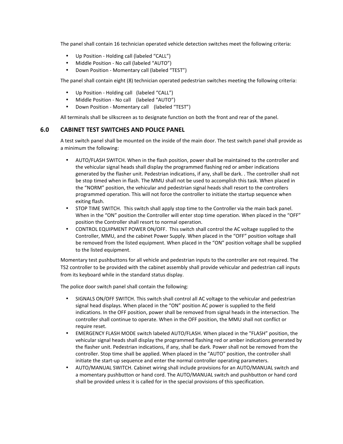The panel shall contain 16 technician operated vehicle detection switches meet the following criteria:

- Up Position Holding call (labeled "CALL")
- Middle Position No call (labeled "AUTO")
- Down Position Momentary call (labeled "TEST")

The panel shall contain eight (8) technician operated pedestrian switches meeting the following criteria:

- Up Position Holding call (labeled "CALL")
- Middle Position No call (labeled "AUTO")
- Down Position Momentary call (labeled "TEST")

All terminals shall be silkscreen as to designate function on both the front and rear of the panel.

#### **6.0 CABINET TEST SWITCHES AND POLICE PANEL**

A test switch panel shall be mounted on the inside of the main door. The test switch panel shall provide as a minimum the following:

- AUTO/FLASH SWITCH. When in the flash position, power shall be maintained to the controller and the vehicular signal heads shall display the programmed flashing red or amber indications generated by the flasher unit. Pedestrian indications, if any, shall be dark. . The controller shall not be stop timed when in flash. The MMU shall not be used to accomplish this task. When placed in the "NORM" position, the vehicular and pedestrian signal heads shall resort to the controllers programmed operation. This will not force the controller to initiate the startup sequence when exiting flash.
- STOP TIME SWITCH. This switch shall apply stop time to the Controller via the main back panel. When in the "ON" position the Controller will enter stop time operation. When placed in the "OFF" position the Controller shall resort to normal operation.
- CONTROL EQUIPMENT POWER ON/OFF. This switch shall control the AC voltage supplied to the Controller, MMU, and the cabinet Power Supply. When placed in the "OFF" position voltage shall be removed from the listed equipment. When placed in the "ON" position voltage shall be supplied to the listed equipment.

Momentary test pushbuttons for all vehicle and pedestrian inputs to the controller are not required. The TS2 controller to be provided with the cabinet assembly shall provide vehicular and pedestrian call inputs from its keyboard while in the standard status display.

The police door switch panel shall contain the following:

- SIGNALS ON/OFF SWITCH. This switch shall control all AC voltage to the vehicular and pedestrian signal head displays. When placed in the "ON" position AC power is supplied to the field indications. In the OFF position, power shall be removed from signal heads in the intersection. The controller shall continue to operate. When in the OFF position, the MMU shall not conflict or require reset.
- EMERGENCY FLASH MODE switch labeled AUTO/FLASH. When placed in the "FLASH" position, the vehicular signal heads shall display the programmed flashing red or amber indications generated by the flasher unit. Pedestrian indications, if any, shall be dark. Power shall not be removed from the controller. Stop time shall be applied. When placed in the "AUTO" position, the controller shall initiate the start-up sequence and enter the normal controller operating parameters.
- AUTO/MANUAL SWITCH. Cabinet wiring shall include provisions for an AUTO/MANUAL switch and a momentary pushbutton or hand cord. The AUTO/MANUAL switch and pushbutton or hand cord shall be provided unless it is called for in the special provisions of this specification.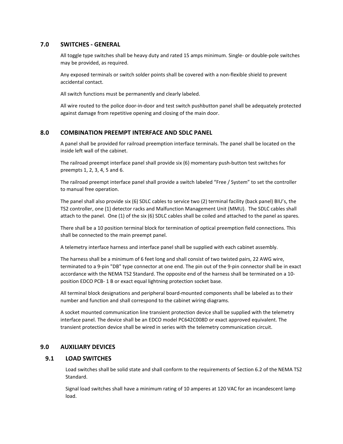#### **7.0 SWITCHES - GENERAL**

All toggle type switches shall be heavy duty and rated 15 amps minimum. Single- or double-pole switches may be provided, as required.

Any exposed terminals or switch solder points shall be covered with a non-flexible shield to prevent accidental contact.

All switch functions must be permanently and clearly labeled.

All wire routed to the police door-in-door and test switch pushbutton panel shall be adequately protected against damage from repetitive opening and closing of the main door.

## **8.0 COMBINATION PREEMPT INTERFACE AND SDLC PANEL**

A panel shall be provided for railroad preemption interface terminals. The panel shall be located on the inside left wall of the cabinet.

The railroad preempt interface panel shall provide six (6) momentary push-button test switches for preempts 1, 2, 3, 4, 5 and 6.

The railroad preempt interface panel shall provide a switch labeled "Free / System" to set the controller to manual free operation.

The panel shall also provide six (6) SDLC cables to service two (2) terminal facility (back panel) BIU's, the TS2 controller, one (1) detector racks and Malfunction Management Unit (MMU). The SDLC cables shall attach to the panel. One (1) of the six (6) SDLC cables shall be coiled and attached to the panel as spares.

There shall be a 10 position terminal block for termination of optical preemption field connections. This shall be connected to the main preempt panel.

A telemetry interface harness and interface panel shall be supplied with each cabinet assembly.

The harness shall be a minimum of 6 feet long and shall consist of two twisted pairs, 22 AWG wire, terminated to a 9-pin "DB" type connector at one end. The pin out of the 9-pin connector shall be in exact accordance with the NEMA TS2 Standard. The opposite end of the harness shall be terminated on a 10 position EDCO PCB- 1 B or exact equal lightning protection socket base.

All terminal block designations and peripheral board-mounted components shall be labeled as to their number and function and shall correspond to the cabinet wiring diagrams.

A socket mounted communication line transient protection device shall be supplied with the telemetry interface panel. The device shall be an EDCO model PC642C008D or exact approved equivalent. The transient protection device shall be wired in series with the telemetry communication circuit.

#### **9.0 AUXILIARY DEVICES**

#### **9.1 LOAD SWITCHES**

Load switches shall be solid state and shall conform to the requirements of Section 6.2 of the NEMA TS2 Standard.

Signal load switches shall have a minimum rating of 10 amperes at 120 VAC for an incandescent lamp load.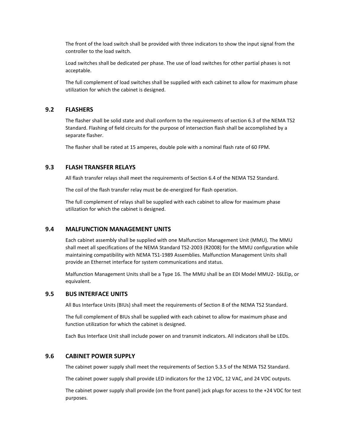The front of the load switch shall be provided with three indicators to show the input signal from the controller to the load switch.

Load switches shall be dedicated per phase. The use of load switches for other partial phases is not acceptable.

The full complement of load switches shall be supplied with each cabinet to allow for maximum phase utilization for which the cabinet is designed.

#### **9.2 FLASHERS**

The flasher shall be solid state and shall conform to the requirements of section 6.3 of the NEMA TS2 Standard. Flashing of field circuits for the purpose of intersection flash shall be accomplished by a separate flasher.

The flasher shall be rated at 15 amperes, double pole with a nominal flash rate of 60 FPM.

#### **9.3 FLASH TRANSFER RELAYS**

All flash transfer relays shall meet the requirements of Section 6.4 of the NEMA TS2 Standard.

The coil of the flash transfer relay must be de-energized for flash operation.

The full complement of relays shall be supplied with each cabinet to allow for maximum phase utilization for which the cabinet is designed.

#### **9.4 MALFUNCTION MANAGEMENT UNITS**

Each cabinet assembly shall be supplied with one Malfunction Management Unit (MMU). The MMU shall meet all specifications of the NEMA Standard TS2-2003 (R2008) for the MMU configuration while maintaining compatibility with NEMA TS1-1989 Assemblies. Malfunction Management Units shall provide an Ethernet interface for system communications and status.

Malfunction Management Units shall be a Type 16. The MMU shall be an EDI Model MMU2- 16LEip, or equivalent.

#### **9.5 BUS INTERFACE UNITS**

All Bus Interface Units (BIUs) shall meet the requirements of Section 8 of the NEMA TS2 Standard.

The full complement of BIUs shall be supplied with each cabinet to allow for maximum phase and function utilization for which the cabinet is designed.

Each Bus Interface Unit shall include power on and transmit indicators. All indicators shall be LEDs.

#### **9.6 CABINET POWER SUPPLY**

The cabinet power supply shall meet the requirements of Section 5.3.5 of the NEMA TS2 Standard.

The cabinet power supply shall provide LED indicators for the 12 VDC, 12 VAC, and 24 VDC outputs.

The cabinet power supply shall provide (on the front panel) jack plugs for access to the +24 VDC for test purposes.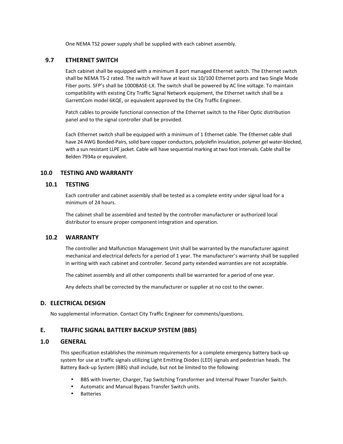One NEMA TS2 power supply shall be supplied with each cabinet assembly.

## **9.7 ETHERNET SWITCH**

Each cabinet shall be equipped with a minimum 8 port managed Ethernet switch. The Ethernet switch shall be NEMA TS-2 rated. The switch will have at least six 10/100 Ethernet ports and two Single Mode Fiber ports. SFP's shall be 1000BASE-LX. The switch shall be powered by AC line voltage. To maintain compatibility with existing City Traffic Signal Network equipment, the Ethernet switch shall be a GarrettCom model 6KQE, or equivalent approved by the City Traffic Engineer.

Patch cables to provide functional connection of the Ethernet switch to the Fiber Optic distribution panel and to the signal controller shall be provided.

Each Ethernet switch shall be equipped with a minimum of 1 Ethernet cable. The Ethernet cable shall have 24 AWG Bonded-Pairs, solid bare copper conductors, polyolefin insulation, polymer gel water-blocked, with a sun resistant LLPE jacket. Cable will have sequential marking at two foot intervals. Cable shall be Belden 7934a or equivalent.

## **10.0 TESTING AND WARRANTY**

#### **10.1 TESTING**

Each controller and cabinet assembly shall be tested as a complete entity under signal load for a minimum of 24 hours.

The cabinet shall be assembled and tested by the controller manufacturer or authorized local distributor to ensure proper component integration and operation.

## **10.2 WARRANTY**

The controller and Malfunction Management Unit shall be warranted by the manufacturer against mechanical and electrical defects for a period of 1 year. The manufacturer's warranty shall be supplied in writing with each cabinet and controller. Second party extended warranties are not acceptable.

The cabinet assembly and all other components shall be warranted for a period of one year.

Any defects shall be corrected by the manufacturer or supplier at no cost to the owner.

#### **D. ELECTRICAL DESIGN**

No supplemental information. Contact City Traffic Engineer for comments/questions.

## **E. TRAFFIC SIGNAL BATTERY BACKUP SYSTEM (BBS)**

## **1.0 GENERAL**

This specification establishes the minimum requirements for a complete emergency battery back-up system for use at traffic signals utilizing Light Emitting Diodes (LED) signals and pedestrian heads. The Battery Back-up System (BBS) shall include, but not be limited to the following:

- BBS with Inverter, Charger, Tap Switching Transformer and Internal Power Transfer Switch.
- Automatic and Manual Bypass Transfer Switch units.
- Batteries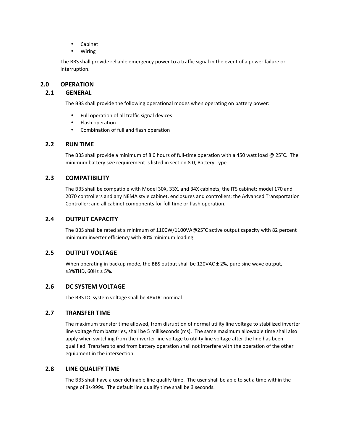- Cabinet
- Wiring

The BBS shall provide reliable emergency power to a traffic signal in the event of a power failure or interruption.

## **2.0 OPERATION**

## **2.1 GENERAL**

The BBS shall provide the following operational modes when operating on battery power:

- Full operation of all traffic signal devices
- Flash operation
- Combination of full and flash operation

#### **2.2 RUN TIME**

The BBS shall provide a minimum of 8.0 hours of full-time operation with a 450 watt load @ 25°C. The minimum battery size requirement is listed in section 8.0, Battery Type.

## **2.3 COMPATIBILITY**

The BBS shall be compatible with Model 30X, 33X, and 34X cabinets; the ITS cabinet; model 170 and 2070 controllers and any NEMA style cabinet, enclosures and controllers; the Advanced Transportation Controller; and all cabinet components for full time or flash operation.

## **2.4 OUTPUT CAPACITY**

The BBS shall be rated at a minimum of 1100W/1100VA@25°C active output capacity with 82 percent minimum inverter efficiency with 30% minimum loading.

## **2.5 OUTPUT VOLTAGE**

When operating in backup mode, the BBS output shall be 120VAC ± 2%, pure sine wave output, ≤3%THD, 60Hz ± 5%.

## **2.6 DC SYSTEM VOLTAGE**

The BBS DC system voltage shall be 48VDC nominal.

## **2.7 TRANSFER TIME**

The maximum transfer time allowed, from disruption of normal utility line voltage to stabilized inverter line voltage from batteries, shall be 5 milliseconds (ms). The same maximum allowable time shall also apply when switching from the inverter line voltage to utility line voltage after the line has been qualified. Transfers to and from battery operation shall not interfere with the operation of the other equipment in the intersection.

#### **2.8 LINE QUALIFY TIME**

The BBS shall have a user definable line qualify time. The user shall be able to set a time within the range of 3s-999s. The default line qualify time shall be 3 seconds.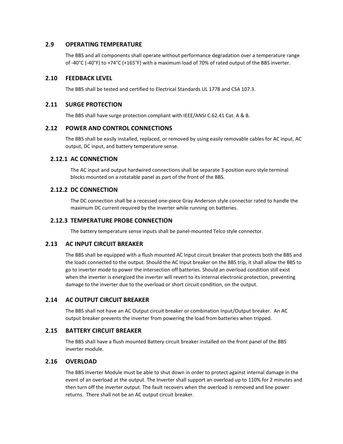#### **2.9 OPERATING TEMPERATURE**

The BBS and all components shall operate without performance degradation over a temperature range of -40°C (-40°F) to +74°C (+165°F) with a maximum load of 70% of rated output of the BBS inverter.

## **2.10 FEEDBACK LEVEL**

The BBS shall be tested and certified to Electrical Standards UL 1778 and CSA 107.3.

#### **2.11 SURGE PROTECTION**

The BBS shall have surge protection compliant with IEEE/ANSI C.62.41 Cat. A & B.

#### **2.12 POWER AND CONTROL CONNECTIONS**

The BBS shall be easily installed, replaced, or removed by using easily removable cables for AC input, AC output, DC input, and battery temperature sense.

#### **2.12.1 AC CONNECTION**

The AC input and output hardwired connections shall be separate 3-position euro style terminal blocks mounted on a rotatable panel as part of the front of the BBS.

## **2.12.2 DC CONNECTION**

The DC connection shall be a recessed one-piece Gray Anderson style connector rated to handle the maximum DC current required by the inverter while running on batteries.

#### **2.12.3 TEMPERATURE PROBE CONNECTION**

The battery temperature sense inputs shall be panel-mounted Telco style connector.

#### **2.13 AC INPUT CIRCUIT BREAKER**

The BBS shall be equipped with a flush mounted AC Input circuit breaker that protects both the BBS and the loads connected to the output. Should the AC Input breaker on the BBS trip, it shall allow the BBS to go to inverter mode to power the intersection off batteries. Should an overload condition still exist when the inverter is energized the inverter will revert to its internal electronic protection, preventing damage to the inverter due to the overload or short circuit condition, on the output.

## **2.14 AC OUTPUT CIRCUIT BREAKER**

The BBS shall not have an AC Output circuit breaker or combination Input/Output breaker. An AC output breaker prevents the inverter from powering the load from batteries when tripped.

#### **2.15 BATTERY CIRCUIT BREAKER**

The BBS shall have a flush mounted Battery circuit breaker installed on the front panel of the BBS inverter module.

#### **2.16 OVERLOAD**

The BBS Inverter Module must be able to shut down in order to protect against internal damage in the event of an overload at the output. The Inverter shall support an overload up to 110% for 2 minutes and then turn off the inverter output. The fault recovers when the overload is removed and line power returns. There shall not be an AC output circuit breaker.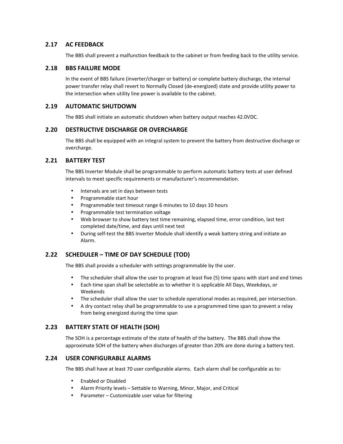## **2.17 AC FEEDBACK**

The BBS shall prevent a malfunction feedback to the cabinet or from feeding back to the utility service.

#### **2.18 BBS FAILURE MODE**

In the event of BBS failure (inverter/charger or battery) or complete battery discharge, the internal power transfer relay shall revert to Normally Closed (de-energized) state and provide utility power to the intersection when utility line power is available to the cabinet.

## **2.19 AUTOMATIC SHUTDOWN**

The BBS shall initiate an automatic shutdown when battery output reaches 42.0VDC.

## **2.20 DESTRUCTIVE DISCHARGE OR OVERCHARGE**

The BBS shall be equipped with an integral system to prevent the battery from destructive discharge or overcharge.

## **2.21 BATTERY TEST**

The BBS Inverter Module shall be programmable to perform automatic battery tests at user defined intervals to meet specific requirements or manufacturer's recommendation.

- Intervals are set in days between tests
- Programmable start hour
- Programmable test timeout range 6 minutes to 10 days 10 hours
- Programmable test termination voltage
- Web browser to show battery test time remaining, elapsed time, error condition, last test completed date/time, and days until next test
- During self-test the BBS Inverter Module shall identify a weak battery string and initiate an Alarm.

## **2.22 SCHEDULER – TIME OF DAY SCHEDULE (TOD)**

The BBS shall provide a scheduler with settings programmable by the user.

- The scheduler shall allow the user to program at least five (5) time spans with start and end times
- Each time span shall be selectable as to whether it is applicable All Days, Weekdays, or Weekends
- The scheduler shall allow the user to schedule operational modes as required, per intersection.
- A dry contact relay shall be programmable to use a programmed time span to prevent a relay from being energized during the time span

## **2.23 BATTERY STATE OF HEALTH (SOH)**

The SOH is a percentage estimate of the state of health of the battery. The BBS shall show the approximate SOH of the battery when discharges of greater than 20% are done during a battery test.

## **2.24 USER CONFIGURABLE ALARMS**

The BBS shall have at least 70 user configurable alarms. Each alarm shall be configurable as to:

- Enabled or Disabled
- Alarm Priority levels Settable to Warning, Minor, Major, and Critical
- Parameter Customizable user value for filtering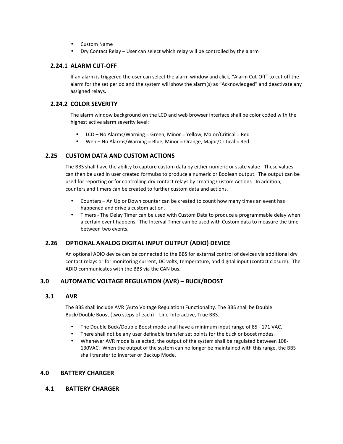- Custom Name
- Dry Contact Relay User can select which relay will be controlled by the alarm

## **2.24.1 ALARM CUT-OFF**

If an alarm is triggered the user can select the alarm window and click, "Alarm Cut-Off" to cut off the alarm for the set period and the system will show the alarm(s) as "Acknowledged" and deactivate any assigned relays.

## **2.24.2 COLOR SEVERITY**

The alarm window background on the LCD and web browser interface shall be color coded with the highest active alarm severity level:

- LCD No Alarms/Warning = Green, Minor = Yellow, Major/Critical = Red
- Web No Alarms/Warning = Blue, Minor = Orange, Major/Critical = Red

## **2.25 CUSTOM DATA AND CUSTOM ACTIONS**

The BBS shall have the ability to capture custom data by either numeric or state value. These values can then be used in user created formulas to produce a numeric or Boolean output. The output can be used for reporting or for controlling dry contact relays by creating Custom Actions. In addition, counters and timers can be created to further custom data and actions.

- Counters An Up or Down counter can be created to count how many times an event has happened and drive a custom action.
- Timers The Delay Timer can be used with Custom Data to produce a programmable delay when a certain event happens. The Interval Timer can be used with Custom data to measure the time between two events.

## **2.26 OPTIONAL ANALOG DIGITAL INPUT OUTPUT (ADIO) DEVICE**

An optional ADIO device can be connected to the BBS for external control of devices via additional dry contact relays or for monitoring current, DC volts, temperature, and digital input (contact closure). The ADIO communicates with the BBS via the CAN bus.

## **3.0 AUTOMATIC VOLTAGE REGULATION (AVR) – BUCK/BOOST**

## **3.1 AVR**

The BBS shall include AVR (Auto Voltage Regulation) Functionality. The BBS shall be Double Buck/Double Boost (two steps of each) – Line-Interactive, True BBS.

- The Double Buck/Double Boost mode shall have a minimum input range of 85 171 VAC.
- There shall not be any user definable transfer set points for the buck or boost modes.
- Whenever AVR mode is selected, the output of the system shall be regulated between 108- 130VAC. When the output of the system can no longer be maintained with this range, the BBS shall transfer to Inverter or Backup Mode.

## **4.0 BATTERY CHARGER**

## **4.1 BATTERY CHARGER**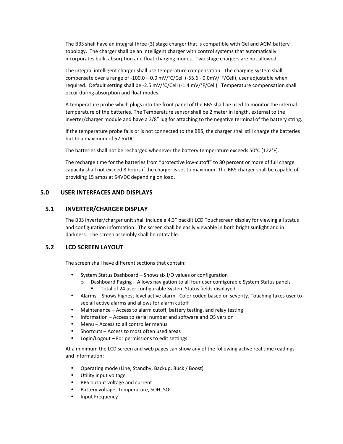The BBS shall have an integral three (3) stage charger that is compatible with Gel and AGM battery topology. The charger shall be an intelligent charger with control systems that automatically incorporates bulk, absorption and float charging modes. Two stage chargers are not allowed.

The integral intelligent charger shall use temperature compensation. The charging system shall compensate over a range of -100.0 – 0.0 mV/°C/Cell (-55.6 - 0.0mV/°F/Cell), user adjustable when required. Default setting shall be -2.5 mV/°C/Cell (-1.4 mV/°F/Cell). Temperature compensation shall occur during absorption and float modes.

A temperature probe which plugs into the front panel of the BBS shall be used to monitor the internal temperature of the batteries. The Temperature sensor shall be 2 meter in length, external to the inverter/charger module and have a 3/8" lug for attaching to the negative terminal of the battery string.

If the temperature probe fails or is not connected to the BBS, the charger shall still charge the batteries but to a maximum of 52.5VDC.

The batteries shall not be recharged whenever the battery temperature exceeds 50°C (122°F).

The recharge time for the batteries from "protective low-cutoff" to 80 percent or more of full charge capacity shall not exceed 8 hours if the charger is set to maximum. The BBS charger shall be capable of providing 15 amps at 54VDC depending on load.

## **5.0 USER INTERFACES AND DISPLAYS**

#### **5.1 INVERTER/CHARGER DISPLAY**

The BBS inverter/charger unit shall include a 4.3" backlit LCD Touchscreen display for viewing all status and configuration information. The screen shall be easily viewable in both bright sunlight and in darkness. The screen assembly shall be rotatable.

## **5.2 LCD SCREEN LAYOUT**

The screen shall have different sections that contain:

- System Status Dashboard Shows six I/O values or configuration
	- $\circ$  Dashboard Paging Allows navigation to all four user configurable System Status panels
		- Total of 24 user configurable System Status fields displayed
- Alarms Shows highest level active alarm. Color coded based on severity. Touching takes user to see all active alarms and allows for alarm cutoff
- Maintenance Access to alarm cutoff, battery testing, and relay testing
- Information Access to serial number and software and OS version
- Menu Access to all controller menus
- Shortcuts Access to most often used areas
- Login/Logout For permissions to edit settings

At a minimum the LCD screen and web pages can show any of the following active real time readings and information:

- Operating mode (Line, Standby, Backup, Buck / Boost)
- Utility input voltage
- BBS output voltage and current
- Battery voltage, Temperature, SOH, SOC
- Input Frequency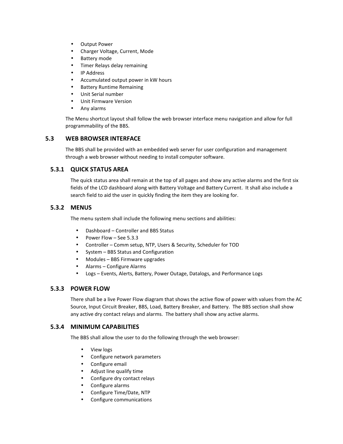- Output Power
- Charger Voltage, Current, Mode
- Battery mode
- Timer Relays delay remaining
- IP Address
- Accumulated output power in kW hours
- Battery Runtime Remaining
- Unit Serial number
- Unit Firmware Version
- Any alarms

The Menu shortcut layout shall follow the web browser interface menu navigation and allow for full programmability of the BBS.

## **5.3 WEB BROWSER INTERFACE**

The BBS shall be provided with an embedded web server for user configuration and management through a web browser without needing to install computer software.

## **5.3.1 QUICK STATUS AREA**

The quick status area shall remain at the top of all pages and show any active alarms and the first six fields of the LCD dashboard along with Battery Voltage and Battery Current. It shall also include a search field to aid the user in quickly finding the item they are looking for.

## **5.3.2 MENUS**

The menu system shall include the following menu sections and abilities:

- Dashboard Controller and BBS Status
- Power Flow See 5.3.3
- Controller Comm setup, NTP, Users & Security, Scheduler for TOD
- System BBS Status and Configuration
- Modules BBS Firmware upgrades
- Alarms Configure Alarms
- Logs Events, Alerts, Battery, Power Outage, Datalogs, and Performance Logs

## **5.3.3 POWER FLOW**

There shall be a live Power Flow diagram that shows the active flow of power with values from the AC Source, Input Circuit Breaker, BBS, Load, Battery Breaker, and Battery. The BBS section shall show any active dry contact relays and alarms. The battery shall show any active alarms.

## **5.3.4 MINIMUM CAPABILITIES**

The BBS shall allow the user to do the following through the web browser:

- View logs
- Configure network parameters
- Configure email
- Adjust line qualify time
- Configure dry contact relays
- Configure alarms
- Configure Time/Date, NTP
- Configure communications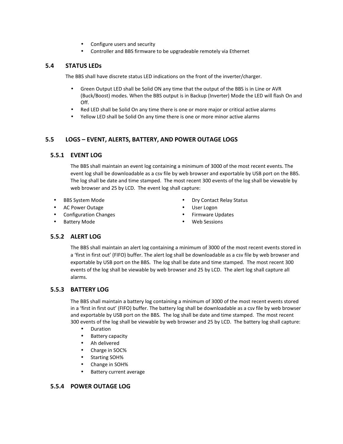- Configure users and security
- Controller and BBS firmware to be upgradeable remotely via Ethernet

#### **5.4 STATUS LEDs**

The BBS shall have discrete status LED indications on the front of the inverter/charger.

- Green Output LED shall be Solid ON any time that the output of the BBS is in Line or AVR (Buck/Boost) modes. When the BBS output is in Backup (Inverter) Mode the LED will flash On and Off.
- Red LED shall be Solid On any time there is one or more major or critical active alarms
- Yellow LED shall be Solid On any time there is one or more minor active alarms

## **5.5 LOGS – EVENT, ALERTS, BATTERY, AND POWER OUTAGE LOGS**

#### **5.5.1 EVENT LOG**

The BBS shall maintain an event log containing a minimum of 3000 of the most recent events. The event log shall be downloadable as a csv file by web browser and exportable by USB port on the BBS. The log shall be date and time stamped. The most recent 300 events of the log shall be viewable by web browser and 25 by LCD. The event log shall capture:

- 
- AC Power Outage **AC Power Outage AC Power Outage**
- 
- 
- BBS System Mode  **Dry Contact Relay Status** 
	-
	- Configuration Changes Firmware Updates
	- Battery Mode **by Community COLLEGAN CONTENT •** Web Sessions

## **5.5.2 ALERT LOG**

The BBS shall maintain an alert log containing a minimum of 3000 of the most recent events stored in a 'first in first out' (FIFO) buffer. The alert log shall be downloadable as a csv file by web browser and exportable by USB port on the BBS. The log shall be date and time stamped. The most recent 300 events of the log shall be viewable by web browser and 25 by LCD. The alert log shall capture all alarms.

## **5.5.3 BATTERY LOG**

The BBS shall maintain a battery log containing a minimum of 3000 of the most recent events stored in a 'first in first out' (FIFO) buffer. The battery log shall be downloadable as a csv file by web browser and exportable by USB port on the BBS. The log shall be date and time stamped. The most recent 300 events of the log shall be viewable by web browser and 25 by LCD. The battery log shall capture:

- Duration
- Battery capacity
- Ah delivered
- Charge in SOC%
- Starting SOH%
- Change in SOH%
- Battery current average

#### **5.5.4 POWER OUTAGE LOG**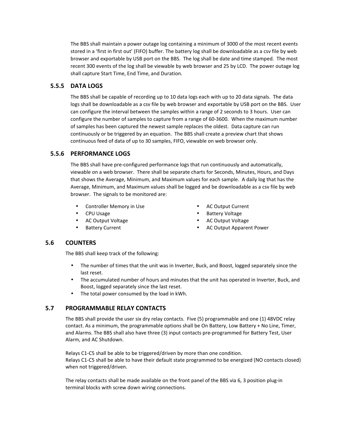The BBS shall maintain a power outage log containing a minimum of 3000 of the most recent events stored in a 'first in first out' (FIFO) buffer. The battery log shall be downloadable as a csv file by web browser and exportable by USB port on the BBS. The log shall be date and time stamped. The most recent 300 events of the log shall be viewable by web browser and 25 by LCD. The power outage log shall capture Start Time, End Time, and Duration.

## **5.5.5 DATA LOGS**

The BBS shall be capable of recording up to 10 data logs each with up to 20 data signals. The data logs shall be downloadable as a csv file by web browser and exportable by USB port on the BBS. User can configure the interval between the samples within a range of 2 seconds to 3 hours. User can configure the number of samples to capture from a range of 60-3600. When the maximum number of samples has been captured the newest sample replaces the oldest. Data capture can run continuously or be triggered by an equation. The BBS shall create a preview chart that shows continuous feed of data of up to 30 samples, FIFO, viewable on web browser only.

## **5.5.6 PERFORMANCE LOGS**

The BBS shall have pre-configured performance logs that run continuously and automatically, viewable on a web browser. There shall be separate charts for Seconds, Minutes, Hours, and Days that shows the Average, Minimum, and Maximum values for each sample. A daily log that has the Average, Minimum, and Maximum values shall be logged and be downloadable as a csv file by web browser. The signals to be monitored are:

- Controller Memory in Use **•** AC Output Current
- 
- 
- 
- 
- CPU Usage  **CPU Usage CPU Usage CPU Usage Pattery Voltage** 
	- AC Output Voltage AC Output Voltage
	- Battery Current  **AC Output Apparent Power**

## **5.6 COUNTERS**

The BBS shall keep track of the following:

- The number of times that the unit was in Inverter, Buck, and Boost, logged separately since the last reset.
- The accumulated number of hours and minutes that the unit has operated in Inverter, Buck, and Boost, logged separately since the last reset.
- The total power consumed by the load in kWh.

## **5.7 PROGRAMMABLE RELAY CONTACTS**

The BBS shall provide the user six dry relay contacts. Five (5) programmable and one (1) 48VDC relay contact. As a minimum, the programmable options shall be On Battery, Low Battery + No Line, Timer, and Alarms. The BBS shall also have three (3) input contacts pre-programmed for Battery Test, User Alarm, and AC Shutdown.

Relays C1-C5 shall be able to be triggered/driven by more than one condition. Relays C1-C5 shall be able to have their default state programmed to be energized (NO contacts closed) when not triggered/driven.

The relay contacts shall be made available on the front panel of the BBS via 6, 3 position plug-in terminal blocks with screw down wiring connections.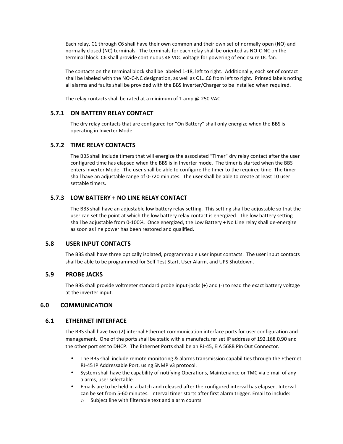Each relay, C1 through C6 shall have their own common and their own set of normally open (NO) and normally closed (NC) terminals. The terminals for each relay shall be oriented as NO-C-NC on the terminal block. C6 shall provide continuous 48 VDC voltage for powering of enclosure DC fan.

The contacts on the terminal block shall be labeled 1-18, left to right. Additionally, each set of contact shall be labeled with the NO-C-NC designation, as well as C1…C6 from left to right. Printed labels noting all alarms and faults shall be provided with the BBS Inverter/Charger to be installed when required.

The relay contacts shall be rated at a minimum of 1 amp @ 250 VAC.

#### **5.7.1 ON BATTERY RELAY CONTACT**

The dry relay contacts that are configured for "On Battery" shall only energize when the BBS is operating in Inverter Mode.

## **5.7.2 TIME RELAY CONTACTS**

The BBS shall include timers that will energize the associated "Timer" dry relay contact after the user configured time has elapsed when the BBS is in Inverter mode. The timer is started when the BBS enters Inverter Mode. The user shall be able to configure the timer to the required time. The timer shall have an adjustable range of 0-720 minutes. The user shall be able to create at least 10 user settable timers.

#### **5.7.3 LOW BATTERY + NO LINE RELAY CONTACT**

The BBS shall have an adjustable low battery relay setting. This setting shall be adjustable so that the user can set the point at which the low battery relay contact is energized. The low battery setting shall be adjustable from 0-100%. Once energized, the Low Battery + No Line relay shall de-energize as soon as line power has been restored and qualified.

#### **5.8 USER INPUT CONTACTS**

The BBS shall have three optically isolated, programmable user input contacts. The user input contacts shall be able to be programmed for Self Test Start, User Alarm, and UPS Shutdown.

#### **5.9 PROBE JACKS**

The BBS shall provide voltmeter standard probe input-jacks (+) and (-) to read the exact battery voltage at the inverter input.

#### **6.0 COMMUNICATION**

#### **6.1 ETHERNET INTERFACE**

The BBS shall have two (2) internal Ethernet communication interface ports for user configuration and management. One of the ports shall be static with a manufacturer set IP address of 192.168.0.90 and the other port set to DHCP. The Ethernet Ports shall be an RJ-45, EIA 568B Pin Out Connector.

- The BBS shall include remote monitoring & alarms transmission capabilities through the Ethernet RJ-45 IP Addressable Port, using SNMP v3 protocol.
- System shall have the capability of notifying Operations, Maintenance or TMC via e-mail of any alarms, user selectable.
- Emails are to be held in a batch and released after the configured interval has elapsed. Interval can be set from 5-60 minutes. Interval timer starts after first alarm trigger. Email to include:
	- o Subject line with filterable text and alarm counts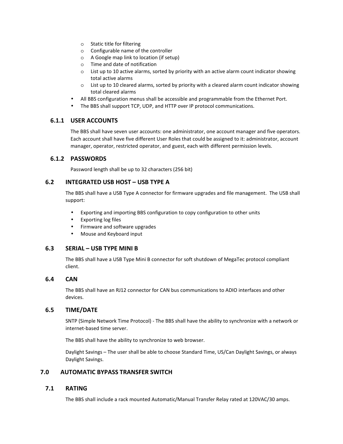- o Static title for filtering
- o Configurable name of the controller
- o A Google map link to location (if setup)
- o Time and date of notification
- o List up to 10 active alarms, sorted by priority with an active alarm count indicator showing total active alarms
- o List up to 10 cleared alarms, sorted by priority with a cleared alarm count indicator showing total cleared alarms
- All BBS configuration menus shall be accessible and programmable from the Ethernet Port.
- The BBS shall support TCP, UDP, and HTTP over IP protocol communications.

## **6.1.1 USER ACCOUNTS**

The BBS shall have seven user accounts: one administrator, one account manager and five operators. Each account shall have five different User Roles that could be assigned to it: administrator, account manager, operator, restricted operator, and guest, each with different permission levels.

## **6.1.2 PASSWORDS**

Password length shall be up to 32 characters (256 bit)

## **6.2 INTEGRATED USB HOST – USB TYPE A**

The BBS shall have a USB Type A connector for firmware upgrades and file management. The USB shall support:

- Exporting and importing BBS configuration to copy configuration to other units
- Exporting log files
- Firmware and software upgrades
- Mouse and Keyboard input

## **6.3 SERIAL – USB TYPE MINI B**

The BBS shall have a USB Type Mini B connector for soft shutdown of MegaTec protocol compliant client.

## **6.4 CAN**

The BBS shall have an RJ12 connector for CAN bus communications to ADIO interfaces and other devices.

## **6.5 TIME/DATE**

SNTP (Simple Network Time Protocol) - The BBS shall have the ability to synchronize with a network or internet-based time server.

The BBS shall have the ability to synchronize to web browser.

Daylight Savings – The user shall be able to choose Standard Time, US/Can Daylight Savings, or always Daylight Savings.

## **7.0 AUTOMATIC BYPASS TRANSFER SWITCH**

## **7.1 RATING**

The BBS shall include a rack mounted Automatic/Manual Transfer Relay rated at 120VAC/30 amps.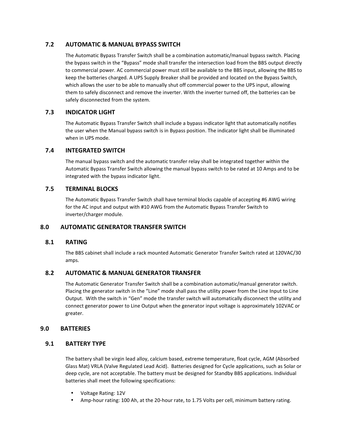## **7.2 AUTOMATIC & MANUAL BYPASS SWITCH**

The Automatic Bypass Transfer Switch shall be a combination automatic/manual bypass switch. Placing the bypass switch in the "Bypass" mode shall transfer the intersection load from the BBS output directly to commercial power. AC commercial power must still be available to the BBS input, allowing the BBS to keep the batteries charged. A UPS Supply Breaker shall be provided and located on the Bypass Switch, which allows the user to be able to manually shut off commercial power to the UPS input, allowing them to safely disconnect and remove the inverter. With the inverter turned off, the batteries can be safely disconnected from the system.

## **7.3 INDICATOR LIGHT**

The Automatic Bypass Transfer Switch shall include a bypass indicator light that automatically notifies the user when the Manual bypass switch is in Bypass position. The indicator light shall be illuminated when in UPS mode.

## **7.4 INTEGRATED SWITCH**

The manual bypass switch and the automatic transfer relay shall be integrated together within the Automatic Bypass Transfer Switch allowing the manual bypass switch to be rated at 10 Amps and to be integrated with the bypass indicator light.

## **7.5 TERMINAL BLOCKS**

The Automatic Bypass Transfer Switch shall have terminal blocks capable of accepting #6 AWG wiring for the AC input and output with #10 AWG from the Automatic Bypass Transfer Switch to inverter/charger module.

## **8.0 AUTOMATIC GENERATOR TRANSFER SWITCH**

## **8.1 RATING**

The BBS cabinet shall include a rack mounted Automatic Generator Transfer Switch rated at 120VAC/30 amps.

## **8.2 AUTOMATIC & MANUAL GENERATOR TRANSFER**

The Automatic Generator Transfer Switch shall be a combination automatic/manual generator switch. Placing the generator switch in the "Line" mode shall pass the utility power from the Line Input to Line Output. With the switch in "Gen" mode the transfer switch will automatically disconnect the utility and connect generator power to Line Output when the generator input voltage is approximately 102VAC or greater.

## **9.0 BATTERIES**

## **9.1 BATTERY TYPE**

The battery shall be virgin lead alloy, calcium based, extreme temperature, float cycle, AGM (Absorbed Glass Mat) VRLA (Valve Regulated Lead Acid). Batteries designed for Cycle applications, such as Solar or deep cycle, are not acceptable. The battery must be designed for Standby BBS applications. Individual batteries shall meet the following specifications:

- Voltage Rating: 12V
- Amp-hour rating: 100 Ah, at the 20-hour rate, to 1.75 Volts per cell, minimum battery rating.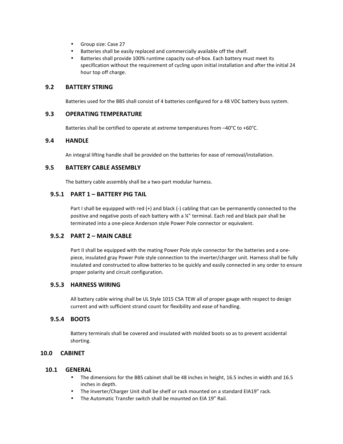- Group size: Case 27
- Batteries shall be easily replaced and commercially available off the shelf.
- Batteries shall provide 100% runtime capacity out-of-box. Each battery must meet its specification without the requirement of cycling upon initial installation and after the initial 24 hour top off charge.

#### **9.2 BATTERY STRING**

Batteries used for the BBS shall consist of 4 batteries configured for a 48 VDC battery buss system.

#### **9.3 OPERATING TEMPERATURE**

Batteries shall be certified to operate at extreme temperatures from –40°C to +60°C.

#### **9.4 HANDLE**

An integral lifting handle shall be provided on the batteries for ease of removal/installation.

## **9.5 BATTERY CABLE ASSEMBLY**

The battery cable assembly shall be a two-part modular harness.

## **9.5.1 PART 1 – BATTERY PIG TAIL**

Part I shall be equipped with red (+) and black (-) cabling that can be permanently connected to the positive and negative posts of each battery with a ¼" terminal. Each red and black pair shall be terminated into a one-piece Anderson style Power Pole connector or equivalent.

#### **9.5.2 PART 2 – MAIN CABLE**

Part II shall be equipped with the mating Power Pole style connector for the batteries and a onepiece, insulated gray Power Pole style connection to the inverter/charger unit. Harness shall be fully insulated and constructed to allow batteries to be quickly and easily connected in any order to ensure proper polarity and circuit configuration.

#### **9.5.3 HARNESS WIRING**

All battery cable wiring shall be UL Style 1015 CSA TEW all of proper gauge with respect to design current and with sufficient strand count for flexibility and ease of handling.

#### **9.5.4 BOOTS**

Battery terminals shall be covered and insulated with molded boots so as to prevent accidental shorting.

## **10.0 CABINET**

#### **10.1 GENERAL**

- The dimensions for the BBS cabinet shall be 48 inches in height, 16.5 inches in width and 16.5 inches in depth.
- The Inverter/Charger Unit shall be shelf or rack mounted on a standard EIA19" rack.
- The Automatic Transfer switch shall be mounted on EIA 19" Rail.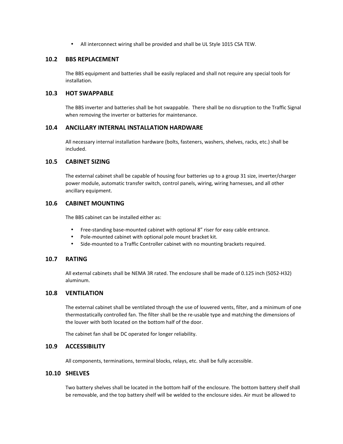• All interconnect wiring shall be provided and shall be UL Style 1015 CSA TEW.

#### **10.2 BBS REPLACEMENT**

The BBS equipment and batteries shall be easily replaced and shall not require any special tools for installation.

#### **10.3 HOT SWAPPABLE**

The BBS inverter and batteries shall be hot swappable. There shall be no disruption to the Traffic Signal when removing the inverter or batteries for maintenance.

#### **10.4 ANCILLARY INTERNAL INSTALLATION HARDWARE**

All necessary internal installation hardware (bolts, fasteners, washers, shelves, racks, etc.) shall be included.

## **10.5 CABINET SIZING**

The external cabinet shall be capable of housing four batteries up to a group 31 size, inverter/charger power module, automatic transfer switch, control panels, wiring, wiring harnesses, and all other ancillary equipment.

## **10.6 CABINET MOUNTING**

The BBS cabinet can be installed either as:

- Free-standing base-mounted cabinet with optional 8" riser for easy cable entrance.
- Pole-mounted cabinet with optional pole mount bracket kit.
- Side-mounted to a Traffic Controller cabinet with no mounting brackets required.

## **10.7 RATING**

All external cabinets shall be NEMA 3R rated. The enclosure shall be made of 0.125 inch (5052-H32) aluminum.

## **10.8 VENTILATION**

The external cabinet shall be ventilated through the use of louvered vents, filter, and a minimum of one thermostatically controlled fan. The filter shall be the re-usable type and matching the dimensions of the louver with both located on the bottom half of the door.

The cabinet fan shall be DC operated for longer reliability.

## **10.9 ACCESSIBILITY**

All components, terminations, terminal blocks, relays, etc. shall be fully accessible.

#### **10.10 SHELVES**

Two battery shelves shall be located in the bottom half of the enclosure. The bottom battery shelf shall be removable, and the top battery shelf will be welded to the enclosure sides. Air must be allowed to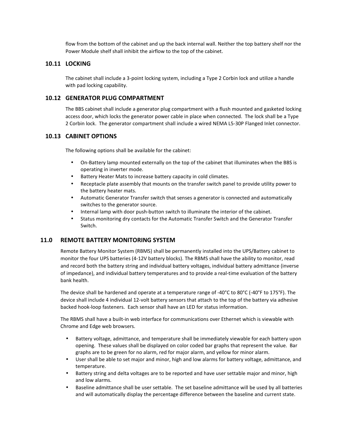flow from the bottom of the cabinet and up the back internal wall. Neither the top battery shelf nor the Power Module shelf shall inhibit the airflow to the top of the cabinet.

#### **10.11 LOCKING**

The cabinet shall include a 3-point locking system, including a Type 2 Corbin lock and utilize a handle with pad locking capability.

#### **10.12 GENERATOR PLUG COMPARTMENT**

The BBS cabinet shall include a generator plug compartment with a flush mounted and gasketed locking access door, which locks the generator power cable in place when connected. The lock shall be a Type 2 Corbin lock. The generator compartment shall include a wired NEMA L5-30P Flanged Inlet connector.

## **10.13 CABINET OPTIONS**

The following options shall be available for the cabinet:

- On-Battery lamp mounted externally on the top of the cabinet that illuminates when the BBS is operating in inverter mode.
- Battery Heater Mats to increase battery capacity in cold climates.
- Receptacle plate assembly that mounts on the transfer switch panel to provide utility power to the battery heater mats.
- Automatic Generator Transfer switch that senses a generator is connected and automatically switches to the generator source.
- Internal lamp with door push-button switch to illuminate the interior of the cabinet.
- Status monitoring dry contacts for the Automatic Transfer Switch and the Generator Transfer Switch.

## **11.0 REMOTE BATTERY MONITORING SYSTEM**

Remote Battery Monitor System (RBMS) shall be permanently installed into the UPS/Battery cabinet to monitor the four UPS batteries (4-12V battery blocks). The RBMS shall have the ability to monitor, read and record both the battery string and individual battery voltages, individual battery admittance (inverse of impedance), and individual battery temperatures and to provide a real-time evaluation of the battery bank health.

The device shall be hardened and operate at a temperature range of -40°C to 80°C (-40°F to 175°F). The device shall include 4 individual 12-volt battery sensors that attach to the top of the battery via adhesive backed hook-loop fasteners. Each sensor shall have an LED for status information.

The RBMS shall have a built-in web interface for communications over Ethernet which is viewable with Chrome and Edge web browsers.

- Battery voltage, admittance, and temperature shall be immediately viewable for each battery upon opening. These values shall be displayed on color coded bar graphs that represent the value. Bar graphs are to be green for no alarm, red for major alarm, and yellow for minor alarm.
- User shall be able to set major and minor, high and low alarms for battery voltage, admittance, and temperature.
- Battery string and delta voltages are to be reported and have user settable major and minor, high and low alarms.
- Baseline admittance shall be user settable. The set baseline admittance will be used by all batteries and will automatically display the percentage difference between the baseline and current state.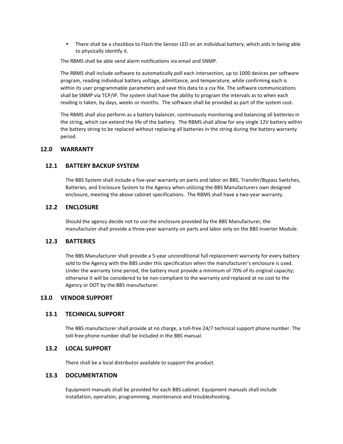• There shall be a checkbox to Flash the Sensor LED on an individual battery, which aids in being able to physically identify it.

The RBMS shall be able send alarm notifications via email and SNMP.

The RBMS shall include software to automatically poll each intersection, up to 1000 devices per software program, reading individual battery voltage, admittance, and temperature, while confirming each is within its user programmable parameters and save this data to a csv file. The software communications shall be SNMP via TCP/IP. The system shall have the ability to program the intervals as to when each reading is taken, by days, weeks or months. The software shall be provided as part of the system cost.

The RBMS shall also perform as a battery balancer, continuously monitoring and balancing all batteries in the string, which can extend the life of the battery. The RBMS shall allow for any single 12V battery within the battery string to be replaced without replacing all batteries in the string during the battery warranty period.

#### **12.0 WARRANTY**

#### **12.1 BATTERY BACKUP SYSTEM**

The BBS System shall include a five-year warranty on parts and labor on BBS, Transfer/Bypass Switches, Batteries, and Enclosure System to the Agency when utilizing the BBS Manufacturers own designed enclosure, meeting the above cabinet specifications. The RBMS shall have a two-year warranty.

#### **12.2 ENCLOSURE**

Should the agency decide not to use the enclosure provided by the BBS Manufacturer, the manufacturer shall provide a three-year warranty on parts and labor only on the BBS Inverter Module.

#### **12.3 BATTERIES**

The BBS Manufacturer shall provide a 5-year unconditional full replacement warranty for every battery sold to the Agency with the BBS under this specification when the manufacturer's enclosure is used. Under the warranty time period, the battery must provide a minimum of 70% of its original capacity; otherwise it will be considered to be non-compliant to the warranty and replaced at no cost to the Agency or DOT by the BBS manufacturer.

#### **13.0 VENDOR SUPPORT**

#### **13.1 TECHNICAL SUPPORT**

The BBS manufacturer shall provide at no charge, a toll-free 24/7 technical support phone number. The toll-free phone number shall be included in the BBS manual.

#### **13.2 LOCAL SUPPORT**

There shall be a local distributor available to support the product.

#### **13.3 DOCUMENTATION**

Equipment manuals shall be provided for each BBS cabinet. Equipment manuals shall include installation, operation, programming, maintenance and troubleshooting.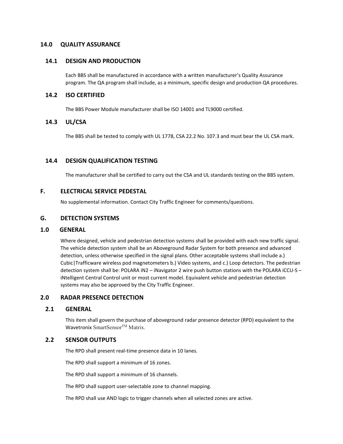#### **14.0 QUALITY ASSURANCE**

#### **14.1 DESIGN AND PRODUCTION**

Each BBS shall be manufactured in accordance with a written manufacturer's Quality Assurance program. The QA program shall include, as a minimum, specific design and production QA procedures.

#### **14.2 ISO CERTIFIED**

The BBS Power Module manufacturer shall be ISO 14001 and TL9000 certified.

## **14.3 UL/CSA**

The BBS shall be tested to comply with UL 1778, CSA 22.2 No. 107.3 and must bear the UL CSA mark.

## **14.4 DESIGN QUALIFICATION TESTING**

The manufacturer shall be certified to carry out the CSA and UL standards testing on the BBS system.

#### **F. ELECTRICAL SERVICE PEDESTAL**

No supplemental information. Contact City Traffic Engineer for comments/questions.

#### **G. DETECTION SYSTEMS**

#### **1.0 GENERAL**

Where designed, vehicle and pedestrian detection systems shall be provided with each new traffic signal. The vehicle detection system shall be an Aboveground Radar System for both presence and advanced detection, unless otherwise specified in the signal plans. Other acceptable systems shall include a.) Cubic|Trafficware wireless pod magnetometers b.) Video systems, and c.) Loop detectors. The pedestrian detection system shall be: POLARA iN2 – iNavigator 2 wire push button stations with the POLARA iCCU-S – iNtelligent Central Control unit or most current model. Equivalent vehicle and pedestrian detection systems may also be approved by the City Traffic Engineer.

## **2.0 RADAR PRESENCE DETECTION**

#### **2.1 GENERAL**

This item shall govern the purchase of aboveground radar presence detector (RPD) equivalent to the Wavetronix SmartSensor™ Matrix.

#### **2.2 SENSOR OUTPUTS**

The RPD shall present real-time presence data in 10 lanes.

The RPD shall support a minimum of 16 zones.

The RPD shall support a minimum of 16 channels.

The RPD shall support user-selectable zone to channel mapping.

The RPD shall use AND logic to trigger channels when all selected zones are active.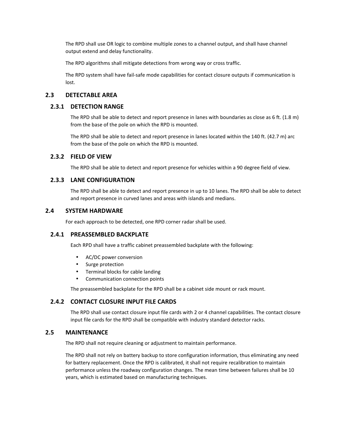The RPD shall use OR logic to combine multiple zones to a channel output, and shall have channel output extend and delay functionality.

The RPD algorithms shall mitigate detections from wrong way or cross traffic.

The RPD system shall have fail-safe mode capabilities for contact closure outputs if communication is lost.

#### **2.3 DETECTABLE AREA**

#### **2.3.1 DETECTION RANGE**

The RPD shall be able to detect and report presence in lanes with boundaries as close as 6 ft. (1.8 m) from the base of the pole on which the RPD is mounted.

The RPD shall be able to detect and report presence in lanes located within the 140 ft. (42.7 m) arc from the base of the pole on which the RPD is mounted.

#### **2.3.2 FIELD OF VIEW**

The RPD shall be able to detect and report presence for vehicles within a 90 degree field of view.

#### **2.3.3 LANE CONFIGURATION**

The RPD shall be able to detect and report presence in up to 10 lanes. The RPD shall be able to detect and report presence in curved lanes and areas with islands and medians.

#### **2.4 SYSTEM HARDWARE**

For each approach to be detected, one RPD corner radar shall be used.

#### **2.4.1 PREASSEMBLED BACKPLATE**

Each RPD shall have a traffic cabinet preassembled backplate with the following:

- AC/DC power conversion
- Surge protection
- Terminal blocks for cable landing
- Communication connection points

The preassembled backplate for the RPD shall be a cabinet side mount or rack mount.

#### **2.4.2 CONTACT CLOSURE INPUT FILE CARDS**

The RPD shall use contact closure input file cards with 2 or 4 channel capabilities. The contact closure input file cards for the RPD shall be compatible with industry standard detector racks.

#### **2.5 MAINTENANCE**

The RPD shall not require cleaning or adjustment to maintain performance.

The RPD shall not rely on battery backup to store configuration information, thus eliminating any need for battery replacement. Once the RPD is calibrated, it shall not require recalibration to maintain performance unless the roadway configuration changes. The mean time between failures shall be 10 years, which is estimated based on manufacturing techniques.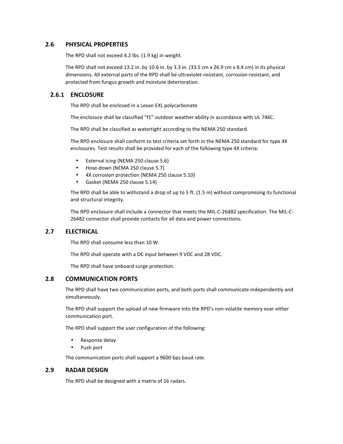## **2.6 PHYSICAL PROPERTIES**

The RPD shall not exceed 4.2 lbs. (1.9 kg) in weight.

The RPD shall not exceed 13.2 in. by 10.6 in. by 3.3 in. (33.5 cm x 26.9 cm x 8.4 cm) in its physical dimensions. All external parts of the RPD shall be ultraviolet-resistant, corrosion-resistant, and protected from fungus growth and moisture deterioration.

## **2.6.1 ENCLOSURE**

The RPD shall be enclosed in a Lexan EXL polycarbonate.

The enclosure shall be classified "f1" outdoor weather ability in accordance with UL 746C.

The RPD shall be classified as watertight according to the NEMA 250 standard.

The RPD enclosure shall conform to test criteria set forth in the NEMA 250 standard for type 4X enclosures. Test results shall be provided for each of the following type 4X criteria:

- External icing (NEMA 250 clause 5.6)
- Hose-down (NEMA 250 clause 5.7)
- 4X corrosion protection (NEMA 250 clause 5.10)
- Gasket (NEMA 250 clause 5.14)

The RPD shall be able to withstand a drop of up to 5 ft. (1.5 m) without compromising its functional and structural integrity.

The RPD enclosure shall include a connector that meets the MIL-C-26482 specification. The MIL-C-26482 connector shall provide contacts for all data and power connections.

## **2.7 ELECTRICAL**

The RPD shall consume less than 10 W.

The RPD shall operate with a DC input between 9 VDC and 28 VDC.

The RPD shall have onboard surge protection.

#### **2.8 COMMUNICATION PORTS**

The RPD shall have two communication ports, and both ports shall communicate independently and simultaneously.

The RPD shall support the upload of new firmware into the RPD's non-volatile memory over either communication port.

The RPD shall support the user configuration of the following:

- Response delay
- Push port

The communication ports shall support a 9600 bps baud rate.

## **2.9 RADAR DESIGN**

The RPD shall be designed with a matrix of 16 radars.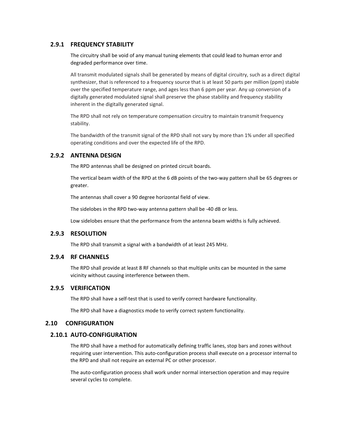## **2.9.1 FREQUENCY STABILITY**

The circuitry shall be void of any manual tuning elements that could lead to human error and degraded performance over time.

All transmit modulated signals shall be generated by means of digital circuitry, such as a direct digital synthesizer, that is referenced to a frequency source that is at least 50 parts per million (ppm) stable over the specified temperature range, and ages less than 6 ppm per year. Any up conversion of a digitally generated modulated signal shall preserve the phase stability and frequency stability inherent in the digitally generated signal.

The RPD shall not rely on temperature compensation circuitry to maintain transmit frequency stability.

The bandwidth of the transmit signal of the RPD shall not vary by more than 1% under all specified operating conditions and over the expected life of the RPD.

## **2.9.2 ANTENNA DESIGN**

The RPD antennas shall be designed on printed circuit boards.

The vertical beam width of the RPD at the 6 dB points of the two-way pattern shall be 65 degrees or greater.

The antennas shall cover a 90 degree horizontal field of view.

The sidelobes in the RPD two-way antenna pattern shall be -40 dB or less.

Low sidelobes ensure that the performance from the antenna beam widths is fully achieved.

#### **2.9.3 RESOLUTION**

The RPD shall transmit a signal with a bandwidth of at least 245 MHz.

#### **2.9.4 RF CHANNELS**

The RPD shall provide at least 8 RF channels so that multiple units can be mounted in the same vicinity without causing interference between them.

#### **2.9.5 VERIFICATION**

The RPD shall have a self-test that is used to verify correct hardware functionality.

The RPD shall have a diagnostics mode to verify correct system functionality.

## **2.10 CONFIGURATION**

#### **2.10.1 AUTO-CONFIGURATION**

The RPD shall have a method for automatically defining traffic lanes, stop bars and zones without requiring user intervention. This auto-configuration process shall execute on a processor internal to the RPD and shall not require an external PC or other processor.

The auto-configuration process shall work under normal intersection operation and may require several cycles to complete.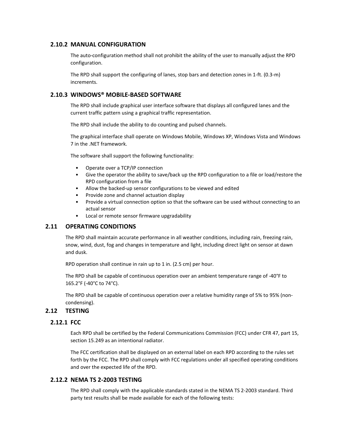## **2.10.2 MANUAL CONFIGURATION**

The auto-configuration method shall not prohibit the ability of the user to manually adjust the RPD configuration.

The RPD shall support the configuring of lanes, stop bars and detection zones in 1-ft. (0.3-m) increments.

## **2.10.3 WINDOWS® MOBILE-BASED SOFTWARE**

The RPD shall include graphical user interface software that displays all configured lanes and the current traffic pattern using a graphical traffic representation.

The RPD shall include the ability to do counting and pulsed channels.

The graphical interface shall operate on Windows Mobile, Windows XP, Windows Vista and Windows 7 in the .NET framework.

The software shall support the following functionality:

- Operate over a TCP/IP connection
- Give the operator the ability to save/back up the RPD configuration to a file or load/restore the RPD configuration from a file
- Allow the backed-up sensor configurations to be viewed and edited
- Provide zone and channel actuation display
- Provide a virtual connection option so that the software can be used without connecting to an actual sensor
- Local or remote sensor firmware upgradability

## **2.11 OPERATING CONDITIONS**

The RPD shall maintain accurate performance in all weather conditions, including rain, freezing rain, snow, wind, dust, fog and changes in temperature and light, including direct light on sensor at dawn and dusk.

RPD operation shall continue in rain up to 1 in. (2.5 cm) per hour.

The RPD shall be capable of continuous operation over an ambient temperature range of -40°F to 165.2°F (-40°C to 74°C).

The RPD shall be capable of continuous operation over a relative humidity range of 5% to 95% (noncondensing).

## **2.12 TESTING**

## **2.12.1 FCC**

Each RPD shall be certified by the Federal Communications Commission (FCC) under CFR 47, part 15, section 15.249 as an intentional radiator.

The FCC certification shall be displayed on an external label on each RPD according to the rules set forth by the FCC. The RPD shall comply with FCC regulations under all specified operating conditions and over the expected life of the RPD.

## **2.12.2 NEMA TS 2-2003 TESTING**

The RPD shall comply with the applicable standards stated in the NEMA TS 2-2003 standard. Third party test results shall be made available for each of the following tests: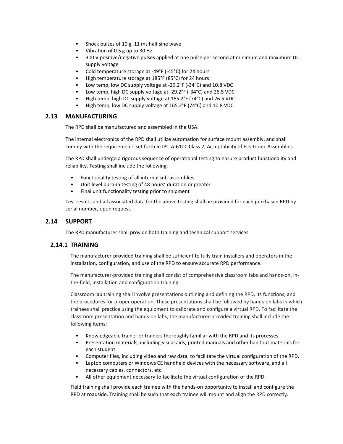- Shock pulses of 10 g, 11 ms half sine wave
- Vibration of 0.5 g up to 30 Hz
- 300 V positive/negative pulses applied at one pulse per second at minimum and maximum DC supply voltage
- Cold temperature storage at -49°F (-45°C) for 24 hours
- High temperature storage at 185°F (85°C) for 24 hours
- Low temp, low DC supply voltage at -29.2°F (-34°C) and 10.8 VDC
- Low temp, high DC supply voltage at -29.2°F (-34°C) and 26.5 VDC
- High temp, high DC supply voltage at 165.2°F (74°C) and 26.5 VDC
- High temp, low DC supply voltage at 165.2°F (74°C) and 10.8 VDC

## **2.13 MANUFACTURING**

The RPD shall be manufactured and assembled in the USA.

The internal electronics of the RPD shall utilize automation for surface mount assembly, and shall comply with the requirements set forth in IPC-A-610C Class 2, Acceptability of Electronic Assemblies.

The RPD shall undergo a rigorous sequence of operational testing to ensure product functionality and reliability. Testing shall include the following:

- Functionality testing of all internal sub-assemblies
- Unit level burn-in testing of 48 hours' duration or greater
- Final unit functionality testing prior to shipment

Test results and all associated data for the above testing shall be provided for each purchased RPD by serial number, upon request.

#### **2.14 SUPPORT**

The RPD manufacturer shall provide both training and technical support services.

## **2.14.1 TRAINING**

The manufacturer-provided training shall be sufficient to fully train installers and operators in the installation, configuration, and use of the RPD to ensure accurate RPD performance.

The manufacturer-provided training shall consist of comprehensive classroom labs and hands-on, inthe-field, installation and configuration training.

Classroom lab training shall involve presentations outlining and defining the RPD, its functions, and the procedures for proper operation. These presentations shall be followed by hands-on labs in which trainees shall practice using the equipment to calibrate and configure a virtual RPD. To facilitate the classroom presentation and hands-on labs, the manufacturer-provided training shall include the following items:

- Knowledgeable trainer or trainers thoroughly familiar with the RPD and its processes
- Presentation materials, including visual aids, printed manuals and other handout materials for each student.
- Computer files, including video and raw data, to facilitate the virtual configuration of the RPD.
- Laptop computers or Windows CE handheld devices with the necessary software, and all necessary cables, connectors, etc.
- All other equipment necessary to facilitate the virtual configuration of the RPD.

Field training shall provide each trainee with the hands-on opportunity to install and configure the RPD at roadside. Training shall be such that each trainee will mount and align the RPD correctly.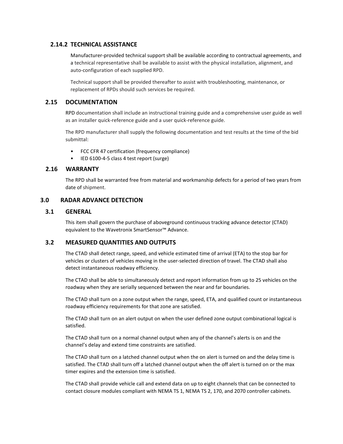## **2.14.2 TECHNICAL ASSISTANCE**

Manufacturer-provided technical support shall be available according to contractual agreements, and a technical representative shall be available to assist with the physical installation, alignment, and auto-configuration of each supplied RPD.

Technical support shall be provided thereafter to assist with troubleshooting, maintenance, or replacement of RPDs should such services be required.

## **2.15 DOCUMENTATION**

RPD documentation shall include an instructional training guide and a comprehensive user guide as well as an installer quick-reference guide and a user quick-reference guide.

The RPD manufacturer shall supply the following documentation and test results at the time of the bid submittal:

- FCC CFR 47 certification (frequency compliance)
- IED 6100-4-5 class 4 test report (surge)

#### **2.16 WARRANTY**

The RPD shall be warranted free from material and workmanship defects for a period of two years from date of shipment.

#### **3.0 RADAR ADVANCE DETECTION**

#### **3.1 GENERAL**

This item shall govern the purchase of aboveground continuous tracking advance detector (CTAD) equivalent to the Wavetronix SmartSensor™ Advance.

## **3.2 MEASURED QUANTITIES AND OUTPUTS**

The CTAD shall detect range, speed, and vehicle estimated time of arrival (ETA) to the stop bar for vehicles or clusters of vehicles moving in the user-selected direction of travel. The CTAD shall also detect instantaneous roadway efficiency.

The CTAD shall be able to simultaneously detect and report information from up to 25 vehicles on the roadway when they are serially sequenced between the near and far boundaries.

The CTAD shall turn on a zone output when the range, speed, ETA, and qualified count or instantaneous roadway efficiency requirements for that zone are satisfied.

The CTAD shall turn on an alert output on when the user defined zone output combinational logical is satisfied.

The CTAD shall turn on a normal channel output when any of the channel's alerts is on and the channel's delay and extend time constraints are satisfied.

The CTAD shall turn on a latched channel output when the on alert is turned on and the delay time is satisfied. The CTAD shall turn off a latched channel output when the off alert is turned on or the max timer expires and the extension time is satisfied.

The CTAD shall provide vehicle call and extend data on up to eight channels that can be connected to contact closure modules compliant with NEMA TS 1, NEMA TS 2, 170, and 2070 controller cabinets.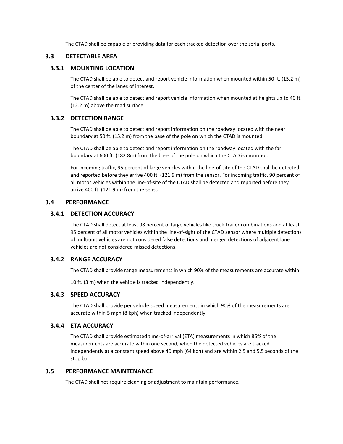The CTAD shall be capable of providing data for each tracked detection over the serial ports.

## **3.3 DETECTABLE AREA**

#### **3.3.1 MOUNTING LOCATION**

The CTAD shall be able to detect and report vehicle information when mounted within 50 ft. (15.2 m) of the center of the lanes of interest.

The CTAD shall be able to detect and report vehicle information when mounted at heights up to 40 ft. (12.2 m) above the road surface.

#### **3.3.2 DETECTION RANGE**

The CTAD shall be able to detect and report information on the roadway located with the near boundary at 50 ft. (15.2 m) from the base of the pole on which the CTAD is mounted.

The CTAD shall be able to detect and report information on the roadway located with the far boundary at 600 ft. (182.8m) from the base of the pole on which the CTAD is mounted.

For incoming traffic, 95 percent of large vehicles within the line-of-site of the CTAD shall be detected and reported before they arrive 400 ft. (121.9 m) from the sensor. For incoming traffic, 90 percent of all motor vehicles within the line-of-site of the CTAD shall be detected and reported before they arrive 400 ft. (121.9 m) from the sensor.

#### **3.4 PERFORMANCE**

## **3.4.1 DETECTION ACCURACY**

The CTAD shall detect at least 98 percent of large vehicles like truck-trailer combinations and at least 95 percent of all motor vehicles within the line-of-sight of the CTAD sensor where multiple detections of multiunit vehicles are not considered false detections and merged detections of adjacent lane vehicles are not considered missed detections.

## **3.4.2 RANGE ACCURACY**

The CTAD shall provide range measurements in which 90% of the measurements are accurate within

10 ft. (3 m) when the vehicle is tracked independently.

## **3.4.3 SPEED ACCURACY**

The CTAD shall provide per vehicle speed measurements in which 90% of the measurements are accurate within 5 mph (8 kph) when tracked independently.

## **3.4.4 ETA ACCURACY**

The CTAD shall provide estimated time-of-arrival (ETA) measurements in which 85% of the measurements are accurate within one second, when the detected vehicles are tracked independently at a constant speed above 40 mph (64 kph) and are within 2.5 and 5.5 seconds of the stop bar.

## **3.5 PERFORMANCE MAINTENANCE**

The CTAD shall not require cleaning or adjustment to maintain performance.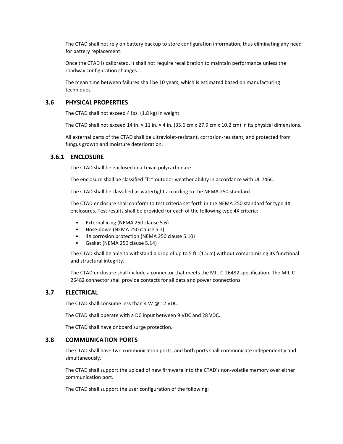The CTAD shall not rely on battery backup to store configuration information, thus eliminating any need for battery replacement.

Once the CTAD is calibrated, it shall not require recalibration to maintain performance unless the roadway configuration changes.

The mean time between failures shall be 10 years, which is estimated based on manufacturing techniques.

#### **3.6 PHYSICAL PROPERTIES**

The CTAD shall not exceed 4 lbs. (1.8 kg) in weight.

The CTAD shall not exceed 14 in.  $\times$  11 in.  $\times$  4 in. (35.6 cm x 27.9 cm x 10.2 cm) in its physical dimensions.

All external parts of the CTAD shall be ultraviolet-resistant, corrosion-resistant, and protected from fungus growth and moisture deterioration.

#### **3.6.1 ENCLOSURE**

The CTAD shall be enclosed in a Lexan polycarbonate.

The enclosure shall be classified "f1" outdoor weather ability in accordance with UL 746C.

The CTAD shall be classified as watertight according to the NEMA 250 standard.

The CTAD enclosure shall conform to test criteria set forth in the NEMA 250 standard for type 4X enclosures. Test results shall be provided for each of the following type 4X criteria:

- External icing (NEMA 250 clause 5.6)
- Hose-down (NEMA 250 clause 5.7)
- 4X corrosion protection (NEMA 250 clause 5.10)
- Gasket (NEMA 250 clause 5.14)

The CTAD shall be able to withstand a drop of up to 5 ft. (1.5 m) without compromising its functional and structural integrity.

The CTAD enclosure shall include a connector that meets the MIL-C-26482 specification. The MIL-C-26482 connector shall provide contacts for all data and power connections.

## **3.7 ELECTRICAL**

The CTAD shall consume less than 4 W @ 12 VDC.

The CTAD shall operate with a DC input between 9 VDC and 28 VDC.

The CTAD shall have onboard surge protection.

#### **3.8 COMMUNICATION PORTS**

The CTAD shall have two communication ports, and both ports shall communicate independently and simultaneously.

The CTAD shall support the upload of new firmware into the CTAD's non-volatile memory over either communication port.

The CTAD shall support the user configuration of the following: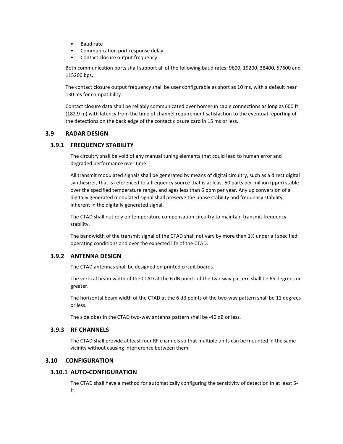- Baud rate
- Communication port response delay
- Contact closure output frequency

Both communication ports shall support all of the following baud rates: 9600, 19200, 38400, 57600 and 115200 bps.

The contact closure output frequency shall be user configurable as short as 10 ms, with a default near 130 ms for compatibility.

Contact closure data shall be reliably communicated over homerun cable connections as long as 600 ft. (182.9 m) with latency from the time of channel requirement satisfaction to the eventual reporting of the detections on the back edge of the contact closure card in 15 ms or less.

#### **3.9 RADAR DESIGN**

#### **3.9.1 FREQUENCY STABILITY**

The circuitry shall be void of any manual tuning elements that could lead to human error and degraded performance over time.

All transmit modulated signals shall be generated by means of digital circuitry, such as a direct digital synthesizer, that is referenced to a frequency source that is at least 50 parts per million (ppm) stable over the specified temperature range, and ages less than 6 ppm per year. Any up conversion of a digitally generated modulated signal shall preserve the phase stability and frequency stability inherent in the digitally generated signal.

The CTAD shall not rely on temperature compensation circuitry to maintain transmit frequency stability.

The bandwidth of the transmit signal of the CTAD shall not vary by more than 1% under all specified operating conditions and over the expected life of the CTAD.

#### **3.9.2 ANTENNA DESIGN**

The CTAD antennas shall be designed on printed circuit boards.

The vertical beam width of the CTAD at the 6 dB points of the two-way pattern shall be 65 degrees or greater.

The horizontal beam width of the CTAD at the 6 dB points of the two-way pattern shall be 11 degrees or less.

The sidelobes in the CTAD two-way antenna pattern shall be -40 dB or less.

## **3.9.3 RF CHANNELS**

The CTAD shall provide at least four RF channels so that multiple units can be mounted in the same vicinity without causing interference between them.

## **3.10 CONFIGURATION**

#### **3.10.1 AUTO-CONFIGURATION**

The CTAD shall have a method for automatically configuring the sensitivity of detection in at least 5 ft.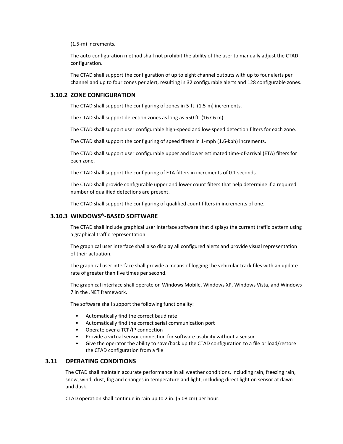(1.5-m) increments.

The auto-configuration method shall not prohibit the ability of the user to manually adjust the CTAD configuration.

The CTAD shall support the configuration of up to eight channel outputs with up to four alerts per channel and up to four zones per alert, resulting in 32 configurable alerts and 128 configurable zones.

#### **3.10.2 ZONE CONFIGURATION**

The CTAD shall support the configuring of zones in 5-ft. (1.5-m) increments.

The CTAD shall support detection zones as long as 550 ft. (167.6 m).

The CTAD shall support user configurable high-speed and low-speed detection filters for each zone.

The CTAD shall support the configuring of speed filters in 1-mph (1.6-kph) increments.

The CTAD shall support user configurable upper and lower estimated time-of-arrival (ETA) filters for each zone.

The CTAD shall support the configuring of ETA filters in increments of 0.1 seconds.

The CTAD shall provide configurable upper and lower count filters that help determine if a required number of qualified detections are present.

The CTAD shall support the configuring of qualified count filters in increments of one.

#### **3.10.3 WINDOWS®-BASED SOFTWARE**

The CTAD shall include graphical user interface software that displays the current traffic pattern using a graphical traffic representation.

The graphical user interface shall also display all configured alerts and provide visual representation of their actuation.

The graphical user interface shall provide a means of logging the vehicular track files with an update rate of greater than five times per second.

The graphical interface shall operate on Windows Mobile, Windows XP, Windows Vista, and Windows 7 in the .NET framework.

The software shall support the following functionality:

- Automatically find the correct baud rate
- Automatically find the correct serial communication port
- Operate over a TCP/IP connection
- Provide a virtual sensor connection for software usability without a sensor
- Give the operator the ability to save/back up the CTAD configuration to a file or load/restore the CTAD configuration from a file

## **3.11 OPERATING CONDITIONS**

The CTAD shall maintain accurate performance in all weather conditions, including rain, freezing rain, snow, wind, dust, fog and changes in temperature and light, including direct light on sensor at dawn and dusk.

CTAD operation shall continue in rain up to 2 in. (5.08 cm) per hour.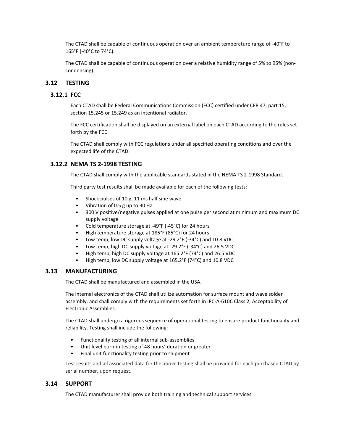The CTAD shall be capable of continuous operation over an ambient temperature range of -40°F to 165°F (-40°C to 74°C).

The CTAD shall be capable of continuous operation over a relative humidity range of 5% to 95% (noncondensing).

#### **3.12 TESTING**

#### **3.12.1 FCC**

Each CTAD shall be Federal Communications Commission (FCC) certified under CFR 47, part 15, section 15.245 or 15.249 as an intentional radiator.

The FCC certification shall be displayed on an external label on each CTAD according to the rules set forth by the FCC.

The CTAD shall comply with FCC regulations under all specified operating conditions and over the expected life of the CTAD.

#### **3.12.2 NEMA TS 2-1998 TESTING**

The CTAD shall comply with the applicable standards stated in the NEMA TS 2-1998 Standard.

Third party test results shall be made available for each of the following tests:

- Shock pulses of 10 g, 11 ms half sine wave
- Vibration of 0.5 g up to 30 Hz
- 300 V positive/negative pulses applied at one pulse per second at minimum and maximum DC supply voltage
- Cold temperature storage at -49°F (-45°C) for 24 hours
- High temperature storage at 185°F (85°C) for 24 hours
- Low temp, low DC supply voltage at -29.2°F (-34°C) and 10.8 VDC
- Low temp, high DC supply voltage at -29.2°F (-34°C) and 26.5 VDC
- High temp, high DC supply voltage at 165.2°F (74°C) and 26.5 VDC
- High temp, low DC supply voltage at 165.2°F (74°C) and 10.8 VDC

#### **3.13 MANUFACTURING**

The CTAD shall be manufactured and assembled in the USA.

The internal electronics of the CTAD shall utilize automation for surface mount and wave solder assembly, and shall comply with the requirements set forth in IPC-A-610C Class 2, Acceptability of Electronic Assemblies.

The CTAD shall undergo a rigorous sequence of operational testing to ensure product functionality and reliability. Testing shall include the following:

- Functionality testing of all internal sub-assemblies
- Unit level burn-in testing of 48 hours' duration or greater
- Final unit functionality testing prior to shipment

Test results and all associated data for the above testing shall be provided for each purchased CTAD by serial number, upon request.

## **3.14 SUPPORT**

The CTAD manufacturer shall provide both training and technical support services.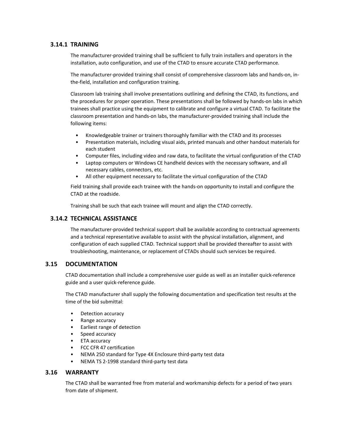## **3.14.1 TRAINING**

The manufacturer-provided training shall be sufficient to fully train installers and operators in the installation, auto configuration, and use of the CTAD to ensure accurate CTAD performance.

The manufacturer-provided training shall consist of comprehensive classroom labs and hands-on, inthe-field, installation and configuration training.

Classroom lab training shall involve presentations outlining and defining the CTAD, its functions, and the procedures for proper operation. These presentations shall be followed by hands-on labs in which trainees shall practice using the equipment to calibrate and configure a virtual CTAD. To facilitate the classroom presentation and hands-on labs, the manufacturer-provided training shall include the following items:

- Knowledgeable trainer or trainers thoroughly familiar with the CTAD and its processes
- Presentation materials, including visual aids, printed manuals and other handout materials for each student
- Computer files, including video and raw data, to facilitate the virtual configuration of the CTAD
- Laptop computers or Windows CE handheld devices with the necessary software, and all necessary cables, connectors, etc.
- All other equipment necessary to facilitate the virtual configuration of the CTAD

Field training shall provide each trainee with the hands-on opportunity to install and configure the CTAD at the roadside.

Training shall be such that each trainee will mount and align the CTAD correctly.

## **3.14.2 TECHNICAL ASSISTANCE**

The manufacturer-provided technical support shall be available according to contractual agreements and a technical representative available to assist with the physical installation, alignment, and configuration of each supplied CTAD. Technical support shall be provided thereafter to assist with troubleshooting, maintenance, or replacement of CTADs should such services be required.

## **3.15 DOCUMENTATION**

CTAD documentation shall include a comprehensive user guide as well as an installer quick-reference guide and a user quick-reference guide.

The CTAD manufacturer shall supply the following documentation and specification test results at the time of the bid submittal:

- Detection accuracy
- Range accuracy
- Earliest range of detection
- Speed accuracy
- ETA accuracy
- FCC CFR 47 certification
- NEMA 250 standard for Type 4X Enclosure third-party test data
- NEMA TS 2-1998 standard third-party test data

## **3.16 WARRANTY**

The CTAD shall be warranted free from material and workmanship defects for a period of two years from date of shipment.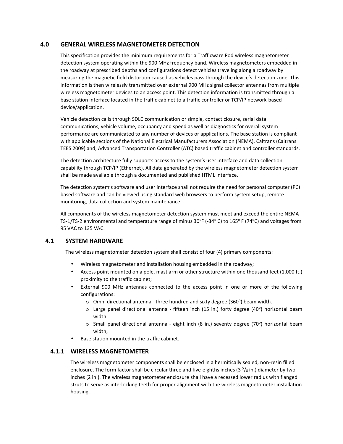## **4.0 GENERAL WIRELESS MAGNETOMETER DETECTION**

This specification provides the minimum requirements for a Trafficware Pod wireless magnetometer detection system operating within the 900 MHz frequency band. Wireless magnetometers embedded in the roadway at prescribed depths and configurations detect vehicles traveling along a roadway by measuring the magnetic field distortion caused as vehicles pass through the device's detection zone. This information is then wirelessly transmitted over external 900 MHz signal collector antennas from multiple wireless magnetometer devices to an access point. This detection information is transmitted through a base station interface located in the traffic cabinet to a traffic controller or TCP/IP network-based device/application.

Vehicle detection calls through SDLC communication or simple, contact closure, serial data communications, vehicle volume, occupancy and speed as well as diagnostics for overall system performance are communicated to any number of devices or applications. The base station is compliant with applicable sections of the National Electrical Manufacturers Association (NEMA), Caltrans (Caltrans TEES 2009) and, Advanced Transportation Controller (ATC) based traffic cabinet and controller standards.

The detection architecture fully supports access to the system's user interface and data collection capability through TCP/IP (Ethernet). All data generated by the wireless magnetometer detection system shall be made available through a documented and published HTML interface.

The detection system's software and user interface shall not require the need for personal computer (PC) based software and can be viewed using standard web browsers to perform system setup, remote monitoring, data collection and system maintenance.

All components of the wireless magnetometer detection system must meet and exceed the entire NEMA TS-1/TS-2 environmental and temperature range of minus 30°F (-34°C) to 165° F (74°C) and voltages from 95 VAC to 135 VAC.

## **4.1 SYSTEM HARDWARE**

The wireless magnetometer detection system shall consist of four (4) primary components:

- Wireless magnetometer and installation housing embedded in the roadway;
- Access point mounted on a pole, mast arm or other structure within one thousand feet (1,000 ft.) proximity to the traffic cabinet;
- External 900 MHz antennas connected to the access point in one or more of the following configurations:
	- $\circ$  Omni directional antenna three hundred and sixty degree (360°) beam width.
	- $\circ$  Large panel directional antenna fifteen inch (15 in.) forty degree (40°) horizontal beam width.
	- o Small panel directional antenna eight inch (8 in.) seventy degree (70°) horizontal beam width;
- Base station mounted in the traffic cabinet.

## **4.1.1 WIRELESS MAGNETOMETER**

The wireless magnetometer components shall be enclosed in a hermitically sealed, non-resin filled enclosure. The form factor shall be circular three and five-eighths inches ( $3<sup>5</sup>/s$  in.) diameter by two inches (2 in.). The wireless magnetometer enclosure shall have a recessed lower radius with flanged struts to serve as interlocking teeth for proper alignment with the wireless magnetometer installation housing.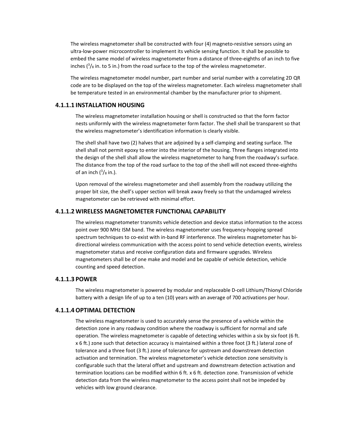The wireless magnetometer shall be constructed with four (4) magneto-resistive sensors using an ultra-low-power microcontroller to implement its vehicle sensing function. It shall be possible to embed the same model of wireless magnetometer from a distance of three-eighths of an inch to five inches  $\binom{3}{8}$  in. to 5 in.) from the road surface to the top of the wireless magnetometer.

The wireless magnetometer model number, part number and serial number with a correlating 2D QR code are to be displayed on the top of the wireless magnetometer. Each wireless magnetometer shall be temperature tested in an environmental chamber by the manufacturer prior to shipment.

#### **4.1.1.1 INSTALLATION HOUSING**

The wireless magnetometer installation housing or shell is constructed so that the form factor nests uniformly with the wireless magnetometer form factor. The shell shall be transparent so that the wireless magnetometer's identification information is clearly visible.

The shell shall have two (2) halves that are adjoined by a self-clamping and seating surface. The shell shall not permit epoxy to enter into the interior of the housing. Three flanges integrated into the design of the shell shall allow the wireless magnetometer to hang from the roadway's surface. The distance from the top of the road surface to the top of the shell will not exceed three-eighths of an inch  $\binom{3}{8}$  in.).

Upon removal of the wireless magnetometer and shell assembly from the roadway utilizing the proper bit size, the shell's upper section will break away freely so that the undamaged wireless magnetometer can be retrieved with minimal effort.

#### **4.1.1.2 WIRELESS MAGNETOMETER FUNCTIONAL CAPABILITY**

The wireless magnetometer transmits vehicle detection and device status information to the access point over 900 MHz ISM band. The wireless magnetometer uses frequency-hopping spread spectrum techniques to co-exist with in-band RF interference. The wireless magnetometer has bidirectional wireless communication with the access point to send vehicle detection events, wireless magnetometer status and receive configuration data and firmware upgrades. Wireless magnetometers shall be of one make and model and be capable of vehicle detection, vehicle counting and speed detection.

#### **4.1.1.3 POWER**

The wireless magnetometer is powered by modular and replaceable D-cell Lithium/Thionyl Chloride battery with a design life of up to a ten (10) years with an average of 700 activations per hour.

#### **4.1.1.4OPTIMAL DETECTION**

The wireless magnetometer is used to accurately sense the presence of a vehicle within the detection zone in any roadway condition where the roadway is sufficient for normal and safe operation. The wireless magnetometer is capable of detecting vehicles within a six by six foot (6 ft. x 6 ft.) zone such that detection accuracy is maintained within a three foot (3 ft.) lateral zone of tolerance and a three foot (3 ft.) zone of tolerance for upstream and downstream detection activation and termination. The wireless magnetometer's vehicle detection zone sensitivity is configurable such that the lateral offset and upstream and downstream detection activation and termination locations can be modified within 6 ft. x 6 ft. detection zone. Transmission of vehicle detection data from the wireless magnetometer to the access point shall not be impeded by vehicles with low ground clearance.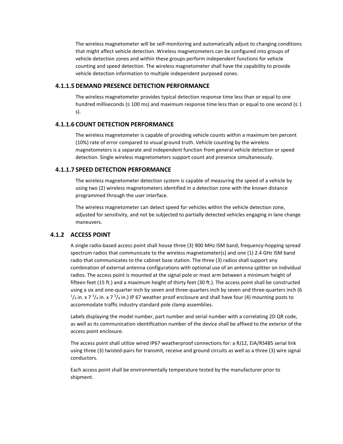The wireless magnetometer will be self-monitoring and automatically adjust to changing conditions that might affect vehicle detection. Wireless magnetometers can be configured into groups of vehicle detection zones and within these groups perform independent functions for vehicle counting and speed detection. The wireless magnetometer shall have the capability to provide vehicle detection information to multiple independent purposed zones.

#### **4.1.1.5 DEMAND PRESENCE DETECTION PERFORMANCE**

The wireless magnetometer provides typical detection response time less than or equal to one hundred milliseconds ( $\leq$  100 ms) and maximum response time less than or equal to one second ( $\leq$  1 s).

#### **4.1.1.6 COUNT DETECTION PERFORMANCE**

The wireless magnetometer is capable of providing vehicle counts within a maximum ten percent (10%) rate of error compared to visual ground truth. Vehicle counting by the wireless magnetometers is a separate and independent function from general vehicle detection or speed detection. Single wireless magnetometers support count and presence simultaneously.

#### **4.1.1.7 SPEED DETECTION PERFORMANCE**

The wireless magnetometer detection system is capable of measuring the speed of a vehicle by using two (2) wireless magnetometers identified in a detection zone with the known distance programmed through the user interface.

The wireless magnetometer can detect speed for vehicles within the vehicle detection zone, adjusted for sensitivity, and not be subjected to partially detected vehicles engaging in lane change maneuvers.

## **4.1.2 ACCESS POINT**

A single radio-based access point shall house three (3) 900 MHz ISM band, frequency-hopping spread spectrum radios that communicate to the wireless magnetometer(s) and one (1) 2.4 GHz ISM band radio that communicates to the cabinet base station. The three (3) radios shall support any combination of external antenna configurations with optional use of an antenna splitter on individual radios. The access point is mounted at the signal pole or mast arm between a minimum height of fifteen feet (15 ft.) and a maximum height of thirty feet (30 ft.). The access point shall be constructed using a six and one-quarter inch by seven and three-quarters inch by seven and three-quarters inch (6  $^{1}/_{4}$  in. x 7  $^{3}/_{4}$  in. x 7  $^{3}/_{4}$  in.) IP 67 weather proof enclosure and shall have four (4) mounting posts to accommodate traffic industry standard pole clamp assemblies.

Labels displaying the model number, part number and serial number with a correlating 2D QR code, as well as its communication identification number of the device shall be affixed to the exterior of the access point enclosure.

The access point shall utilize wired IP67 weatherproof connections for: a RJ12, EIA/RS485 serial link using three (3) twisted-pairs for transmit, receive and ground circuits as well as a three (3) wire signal conductors.

Each access point shall be environmentally temperature tested by the manufacturer prior to shipment.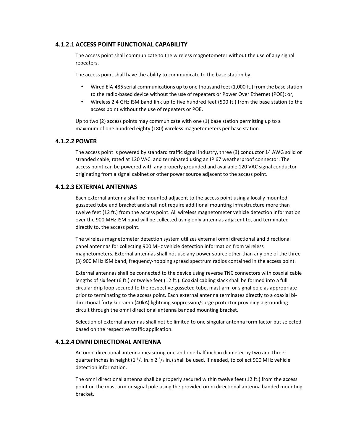## **4.1.2.1 ACCESS POINT FUNCTIONAL CAPABILITY**

The access point shall communicate to the wireless magnetometer without the use of any signal repeaters.

The access point shall have the ability to communicate to the base station by:

- Wired EIA-485 serial communications up to one thousand feet (1,000 ft.) from the base station to the radio-based device without the use of repeaters or Power Over Ethernet (POE); or,
- Wireless 2.4 GHz ISM band link up to five hundred feet (500 ft.) from the base station to the access point without the use of repeaters or POE.

Up to two (2) access points may communicate with one (1) base station permitting up to a maximum of one hundred eighty (180) wireless magnetometers per base station.

#### **4.1.2.2 POWER**

The access point is powered by standard traffic signal industry, three (3) conductor 14 AWG solid or stranded cable, rated at 120 VAC. and terminated using an IP 67 weatherproof connector. The access point can be powered with any properly grounded and available 120 VAC signal conductor originating from a signal cabinet or other power source adjacent to the access point.

#### **4.1.2.3 EXTERNAL ANTENNAS**

Each external antenna shall be mounted adjacent to the access point using a locally mounted gusseted tube and bracket and shall not require additional mounting infrastructure more than twelve feet (12 ft.) from the access point. All wireless magnetometer vehicle detection information over the 900 MHz ISM band will be collected using only antennas adjacent to, and terminated directly to, the access point.

The wireless magnetometer detection system utilizes external omni directional and directional panel antennas for collecting 900 MHz vehicle detection information from wireless magnetometers. External antennas shall not use any power source other than any one of the three (3) 900 MHz ISM band, frequency-hopping spread spectrum radios contained in the access point.

External antennas shall be connected to the device using reverse TNC connectors with coaxial cable lengths of six feet (6 ft.) or twelve feet (12 ft.). Coaxial cabling slack shall be formed into a full circular drip loop secured to the respective gusseted tube, mast arm or signal pole as appropriate prior to terminating to the access point. Each external antenna terminates directly to a coaxial bidirectional forty kilo-amp (40kA) lightning suppression/surge protector providing a grounding circuit through the omni directional antenna banded mounting bracket.

Selection of external antennas shall not be limited to one singular antenna form factor but selected based on the respective traffic application.

#### **4.1.2.4OMNI DIRECTIONAL ANTENNA**

An omni directional antenna measuring one and one-half inch in diameter by two and threequarter inches in height  $(1^{\frac{1}{2}})$  in. x 2  $\frac{3}{4}$  in.) shall be used, if needed, to collect 900 MHz vehicle detection information.

The omni directional antenna shall be properly secured within twelve feet (12 ft.) from the access point on the mast arm or signal pole using the provided omni directional antenna banded mounting bracket.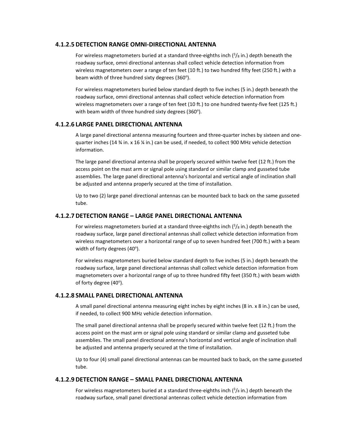#### **4.1.2.5 DETECTION RANGE OMNI-DIRECTIONAL ANTENNA**

For wireless magnetometers buried at a standard three-eighths inch  $\binom{3}{8}$  in.) depth beneath the roadway surface, omni directional antennas shall collect vehicle detection information from wireless magnetometers over a range of ten feet (10 ft.) to two hundred fifty feet (250 ft.) with a beam width of three hundred sixty degrees (360°).

For wireless magnetometers buried below standard depth to five inches (5 in.) depth beneath the roadway surface, omni directional antennas shall collect vehicle detection information from wireless magnetometers over a range of ten feet (10 ft.) to one hundred twenty-five feet (125 ft.) with beam width of three hundred sixty degrees (360 $^{\circ}$ ).

#### **4.1.2.6 LARGE PANEL DIRECTIONAL ANTENNA**

A large panel directional antenna measuring fourteen and three-quarter inches by sixteen and onequarter inches (14 ¾ in. x 16 ¼ in.) can be used, if needed, to collect 900 MHz vehicle detection information.

The large panel directional antenna shall be properly secured within twelve feet (12 ft.) from the access point on the mast arm or signal pole using standard or similar clamp and gusseted tube assemblies. The large panel directional antenna's horizontal and vertical angle of inclination shall be adjusted and antenna properly secured at the time of installation.

Up to two (2) large panel directional antennas can be mounted back to back on the same gusseted tube.

#### **4.1.2.7 DETECTION RANGE – LARGE PANEL DIRECTIONAL ANTENNA**

For wireless magnetometers buried at a standard three-eighths inch  $\binom{3}{8}$  in.) depth beneath the roadway surface, large panel directional antennas shall collect vehicle detection information from wireless magnetometers over a horizontal range of up to seven hundred feet (700 ft.) with a beam width of forty degrees (40°).

For wireless magnetometers buried below standard depth to five inches (5 in.) depth beneath the roadway surface, large panel directional antennas shall collect vehicle detection information from magnetometers over a horizontal range of up to three hundred fifty feet (350 ft.) with beam width of forty degree (40°).

#### **4.1.2.8 SMALL PANEL DIRECTIONAL ANTENNA**

A small panel directional antenna measuring eight inches by eight inches (8 in. x 8 in.) can be used, if needed, to collect 900 MHz vehicle detection information.

The small panel directional antenna shall be properly secured within twelve feet (12 ft.) from the access point on the mast arm or signal pole using standard or similar clamp and gusseted tube assemblies. The small panel directional antenna's horizontal and vertical angle of inclination shall be adjusted and antenna properly secured at the time of installation.

Up to four (4) small panel directional antennas can be mounted back to back, on the same gusseted tube.

#### **4.1.2.9 DETECTION RANGE – SMALL PANEL DIRECTIONAL ANTENNA**

For wireless magnetometers buried at a standard three-eighths inch  $\binom{3}{8}$  in.) depth beneath the roadway surface, small panel directional antennas collect vehicle detection information from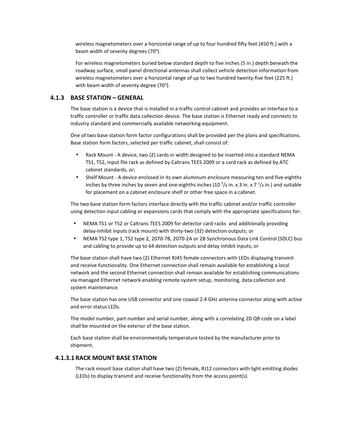wireless magnetometers over a horizontal range of up to four hundred fifty feet (450 ft.) with a beam width of seventy degrees (70°).

For wireless magnetometers buried below standard depth to five inches (5 in.) depth beneath the roadway surface, small panel directional antennas shall collect vehicle detection information from wireless magnetometers over a horizontal range of up to two hundred twenty-five feet (225 ft.) with beam width of seventy degree (70°).

#### **4.1.3 BASE STATION – GENERAL**

The base station is a device that is installed in a traffic control cabinet and provides an interface to a traffic controller or traffic data collection device. The base station is Ethernet ready and connects to industry standard and commercially available networking equipment.

One of two base station form factor configurations shall be provided per the plans and specifications. Base station form factors, selected per traffic cabinet, shall consist of:

- Rack Mount A device, two (2) cards in width designed to be inserted into a standard NEMA TS1, TS2, input file rack as defined by Caltrans TEES 2009 or a card rack as defined by ATC cabinet standards, or;
- Shelf Mount A device enclosed in its own aluminum enclosure measuring ten and five-eighths inches by three inches by seven and one-eighths inches (10  $5$ /s in. x 3 in. x 7  $\frac{1}{8}$  in.) and suitable for placement on a cabinet enclosure shelf or other free space in a cabinet.

The two base station form factors interface directly with the traffic cabinet and/or traffic controller using detection input cabling or expansions cards that comply with the appropriate specifications for:

- NEMA TS1 or TS2 or Caltrans TEES 2009 for detector card racks and additionally providing delay-inhibit inputs (rack mount) with thirty-two (32) detection outputs; or
- NEMA TS2 type 1, TS2 type 2, 2070-7B, 2070-2A or 2B Synchronous Data Link Control (SDLC) bus and cabling to provide up to 64 detection outputs and delay inhibit inputs; or

The base station shall have two (2) Ethernet RJ45 female connectors with LEDs displaying transmit and receive functionality. One Ethernet connection shall remain available for establishing a local network and the second Ethernet connection shall remain available for establishing communications via managed Ethernet network enabling remote system setup, monitoring, data collection and system maintenance.

The base station has one USB connector and one coaxial 2.4 GHz antenna connector along with active and error status LEDs.

The model number, part number and serial number, along with a correlating 2D QR code on a label shall be mounted on the exterior of the base station.

Each base station shall be environmentally temperature tested by the manufacturer prior to shipment.

## **4.1.3.1 RACK MOUNT BASE STATION**

The rack mount base station shall have two (2) female, RJ12 connectors with light emitting diodes (LEDs) to display transmit and receive functionality from the access point(s).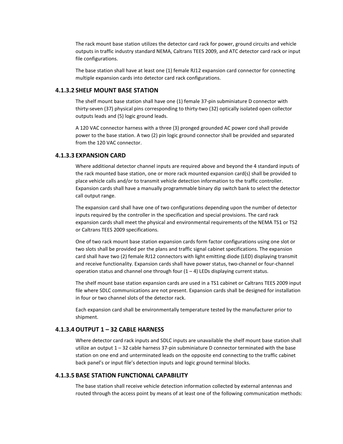The rack mount base station utilizes the detector card rack for power, ground circuits and vehicle outputs in traffic industry standard NEMA, Caltrans TEES 2009, and ATC detector card rack or input file configurations.

The base station shall have at least one (1) female RJ12 expansion card connector for connecting multiple expansion cards into detector card rack configurations.

#### **4.1.3.2 SHELF MOUNT BASE STATION**

The shelf mount base station shall have one (1) female 37-pin subminiature D connector with thirty-seven (37) physical pins corresponding to thirty-two (32) optically isolated open collector outputs leads and (5) logic ground leads.

A 120 VAC connector harness with a three (3) pronged grounded AC power cord shall provide power to the base station. A two (2) pin logic ground connector shall be provided and separated from the 120 VAC connector.

#### **4.1.3.3 EXPANSION CARD**

Where additional detector channel inputs are required above and beyond the 4 standard inputs of the rack mounted base station, one or more rack mounted expansion card(s) shall be provided to place vehicle calls and/or to transmit vehicle detection information to the traffic controller. Expansion cards shall have a manually programmable binary dip switch bank to select the detector call output range.

The expansion card shall have one of two configurations depending upon the number of detector inputs required by the controller in the specification and special provisions. The card rack expansion cards shall meet the physical and environmental requirements of the NEMA TS1 or TS2 or Caltrans TEES 2009 specifications.

One of two rack mount base station expansion cards form factor configurations using one slot or two slots shall be provided per the plans and traffic signal cabinet specifications. The expansion card shall have two (2) female RJ12 connectors with light emitting diode (LED) displaying transmit and receive functionality. Expansion cards shall have power status, two-channel or four-channel operation status and channel one through four  $(1 - 4)$  LEDs displaying current status.

The shelf mount base station expansion cards are used in a TS1 cabinet or Caltrans TEES 2009 input file where SDLC communications are not present. Expansion cards shall be designed for installation in four or two channel slots of the detector rack.

Each expansion card shall be environmentally temperature tested by the manufacturer prior to shipment.

## **4.1.3.4OUTPUT 1 – 32 CABLE HARNESS**

Where detector card rack inputs and SDLC inputs are unavailable the shelf mount base station shall utilize an output 1 – 32 cable harness 37-pin subminiature D connector terminated with the base station on one end and unterminated leads on the opposite end connecting to the traffic cabinet back panel's or input file's detection inputs and logic ground terminal blocks.

#### **4.1.3.5 BASE STATION FUNCTIONAL CAPABILITY**

The base station shall receive vehicle detection information collected by external antennas and routed through the access point by means of at least one of the following communication methods: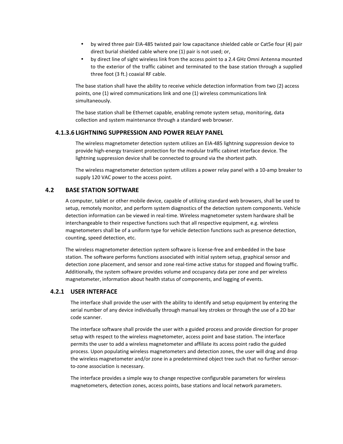- by wired three pair EIA-485 twisted pair low capacitance shielded cable or Cat5e four (4) pair direct burial shielded cable where one (1) pair is not used; or,
- by direct line of sight wireless link from the access point to a 2.4 GHz Omni Antenna mounted to the exterior of the traffic cabinet and terminated to the base station through a supplied three foot (3 ft.) coaxial RF cable.

The base station shall have the ability to receive vehicle detection information from two (2) access points, one (1) wired communications link and one (1) wireless communications link simultaneously.

The base station shall be Ethernet capable, enabling remote system setup, monitoring, data collection and system maintenance through a standard web browser.

#### **4.1.3.6 LIGHTNING SUPPRESSION AND POWER RELAY PANEL**

The wireless magnetometer detection system utilizes an EIA-485 lightning suppression device to provide high-energy transient protection for the modular traffic cabinet interface device. The lightning suppression device shall be connected to ground via the shortest path.

The wireless magnetometer detection system utilizes a power relay panel with a 10-amp breaker to supply 120 VAC power to the access point.

#### **4.2 BASE STATION SOFTWARE**

A computer, tablet or other mobile device, capable of utilizing standard web browsers, shall be used to setup, remotely monitor, and perform system diagnostics of the detection system components. Vehicle detection information can be viewed in real-time. Wireless magnetometer system hardware shall be interchangeable to their respective functions such that all respective equipment, e.g. wireless magnetometers shall be of a uniform type for vehicle detection functions such as presence detection, counting, speed detection, etc.

The wireless magnetometer detection system software is license-free and embedded in the base station. The software performs functions associated with initial system setup, graphical sensor and detection zone placement, and sensor and zone real-time active status for stopped and flowing traffic. Additionally, the system software provides volume and occupancy data per zone and per wireless magnetometer, information about health status of components, and logging of events.

#### **4.2.1 USER INTERFACE**

The interface shall provide the user with the ability to identify and setup equipment by entering the serial number of any device individually through manual key strokes or through the use of a 2D bar code scanner.

The interface software shall provide the user with a guided process and provide direction for proper setup with respect to the wireless magnetometer, access point and base station. The interface permits the user to add a wireless magnetometer and affiliate its access point radio the guided process. Upon populating wireless magnetometers and detection zones, the user will drag and drop the wireless magnetometer and/or zone in a predetermined object tree such that no further sensorto-zone association is necessary.

The interface provides a simple way to change respective configurable parameters for wireless magnetometers, detection zones, access points, base stations and local network parameters.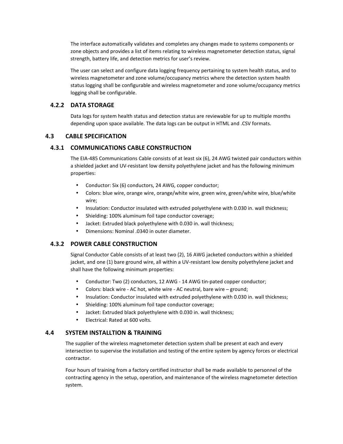The interface automatically validates and completes any changes made to systems components or zone objects and provides a list of items relating to wireless magnetometer detection status, signal strength, battery life, and detection metrics for user's review.

The user can select and configure data logging frequency pertaining to system health status, and to wireless magnetometer and zone volume/occupancy metrics where the detection system health status logging shall be configurable and wireless magnetometer and zone volume/occupancy metrics logging shall be configurable.

## **4.2.2 DATA STORAGE**

Data logs for system health status and detection status are reviewable for up to multiple months depending upon space available. The data logs can be output in HTML and .CSV formats.

## **4.3 CABLE SPECIFICATION**

## **4.3.1 COMMUNICATIONS CABLE CONSTRUCTION**

The EIA-485 Communications Cable consists of at least six (6), 24 AWG twisted pair conductors within a shielded jacket and UV-resistant low density polyethylene jacket and has the following minimum properties:

- Conductor: Six (6) conductors, 24 AWG, copper conductor;
- Colors: blue wire, orange wire, orange/white wire, green wire, green/white wire, blue/white wire;
- Insulation: Conductor insulated with extruded polyethylene with 0.030 in. wall thickness;
- Shielding: 100% aluminum foil tape conductor coverage;
- Jacket: Extruded black polyethylene with 0.030 in. wall thickness;
- Dimensions: Nominal .0340 in outer diameter.

## **4.3.2 POWER CABLE CONSTRUCTION**

Signal Conductor Cable consists of at least two (2), 16 AWG jacketed conductors within a shielded jacket, and one (1) bare ground wire, all within a UV-resistant low density polyethylene jacket and shall have the following minimum properties:

- Conductor: Two (2) conductors, 12 AWG 14 AWG tin-pated copper conductor;
- Colors: black wire AC hot, white wire AC neutral, bare wire ground;
- Insulation: Conductor insulated with extruded polyethylene with 0.030 in. wall thickness;
- Shielding: 100% aluminum foil tape conductor coverage;
- Jacket: Extruded black polyethylene with 0.030 in. wall thickness;
- Electrical: Rated at 600 volts.

## **4.4 SYSTEM INSTALLTION & TRAINING**

The supplier of the wireless magnetometer detection system shall be present at each and every intersection to supervise the installation and testing of the entire system by agency forces or electrical contractor.

Four hours of training from a factory certified instructor shall be made available to personnel of the contracting agency in the setup, operation, and maintenance of the wireless magnetometer detection system.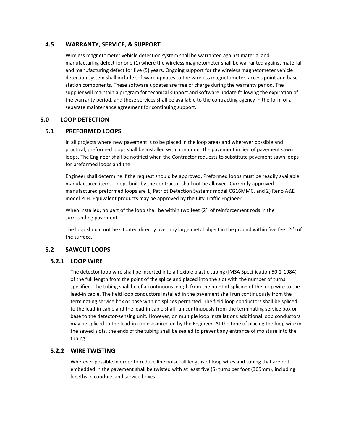## **4.5 WARRANTY, SERVICE, & SUPPORT**

Wireless magnetometer vehicle detection system shall be warranted against material and manufacturing defect for one (1) where the wireless magnetometer shall be warranted against material and manufacturing defect for five (5) years. Ongoing support for the wireless magnetometer vehicle detection system shall include software updates to the wireless magnetometer, access point and base station components. These software updates are free of charge during the warranty period. The supplier will maintain a program for technical support and software update following the expiration of the warranty period, and these services shall be available to the contracting agency in the form of a separate maintenance agreement for continuing support.

## **5.0 LOOP DETECTION**

## **5.1 PREFORMED LOOPS**

In all projects where new pavement is to be placed in the loop areas and wherever possible and practical, preformed loops shall be installed within or under the pavement in lieu of pavement sawn loops. The Engineer shall be notified when the Contractor requests to substitute pavement sawn loops for preformed loops and the

Engineer shall determine if the request should be approved. Preformed loops must be readily available manufactured items. Loops built by the contractor shall not be allowed. Currently approved manufactured preformed loops are 1) Patriot Detection Systems model CG16MMC, and 2) Reno A&E model PLH. Equivalent products may be approved by the City Traffic Engineer.

When installed, no part of the loop shall be within two feet (2') of reinforcement rods in the surrounding pavement.

The loop should not be situated directly over any large metal object in the ground within five feet (5') of the surface.

## **5.2 SAWCUT LOOPS**

## **5.2.1 LOOP WIRE**

The detector loop wire shall be inserted into a flexible plastic tubing (IMSA Specification 50-2-1984) of the full length from the point of the splice and placed into the slot with the number of turns specified. The tubing shall be of a continuous length from the point of splicing of the loop wire to the lead-in cable. The field loop conductors installed in the pavement shall run continuously from the terminating service box or base with no splices permitted. The field loop conductors shall be spliced to the lead-in cable and the lead-in cable shall run continuously from the terminating service box or base to the detector-sensing unit. However, on multiple loop installations additional loop conductors may be spliced to the lead-in cable as directed by the Engineer. At the time of placing the loop wire in the sawed slots, the ends of the tubing shall be sealed to prevent any entrance of moisture into the tubing.

## **5.2.2 WIRE TWISTING**

Wherever possible in order to reduce line noise, all lengths of loop wires and tubing that are not embedded in the pavement shall be twisted with at least five (5) turns per foot (305mm), including lengths in conduits and service boxes.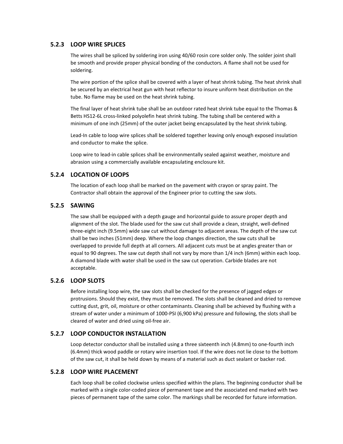## **5.2.3 LOOP WIRE SPLICES**

The wires shall be spliced by soldering iron using 40/60 rosin core solder only. The solder joint shall be smooth and provide proper physical bonding of the conductors. A flame shall not be used for soldering.

The wire portion of the splice shall be covered with a layer of heat shrink tubing. The heat shrink shall be secured by an electrical heat gun with heat reflector to insure uniform heat distribution on the tube. No flame may be used on the heat shrink tubing.

The final layer of heat shrink tube shall be an outdoor rated heat shrink tube equal to the Thomas & Betts HS12-6L cross-linked polyolefin heat shrink tubing. The tubing shall be centered with a minimum of one inch (25mm) of the outer jacket being encapsulated by the heat shrink tubing.

Lead-In cable to loop wire splices shall be soldered together leaving only enough exposed insulation and conductor to make the splice.

Loop wire to lead-in cable splices shall be environmentally sealed against weather, moisture and abrasion using a commercially available encapsulating enclosure kit.

## **5.2.4 LOCATION OF LOOPS**

The location of each loop shall be marked on the pavement with crayon or spray paint. The Contractor shall obtain the approval of the Engineer prior to cutting the saw slots.

## **5.2.5 SAWING**

The saw shall be equipped with a depth gauge and horizontal guide to assure proper depth and alignment of the slot. The blade used for the saw cut shall provide a clean, straight, well-defined three-eight inch (9.5mm) wide saw cut without damage to adjacent areas. The depth of the saw cut shall be two inches (51mm) deep. Where the loop changes direction, the saw cuts shall be overlapped to provide full depth at all corners. All adjacent cuts must be at angles greater than or equal to 90 degrees. The saw cut depth shall not vary by more than 1/4 inch (6mm) within each loop. A diamond blade with water shall be used in the saw cut operation. Carbide blades are not acceptable.

## **5.2.6 LOOP SLOTS**

Before installing loop wire, the saw slots shall be checked for the presence of jagged edges or protrusions. Should they exist, they must be removed. The slots shall be cleaned and dried to remove cutting dust, grit, oil, moisture or other contaminants. Cleaning shall be achieved by flushing with a stream of water under a minimum of 1000-PSI (6,900 kPa) pressure and following, the slots shall be cleared of water and dried using oil-free air.

## **5.2.7 LOOP CONDUCTOR INSTALLATION**

Loop detector conductor shall be installed using a three sixteenth inch (4.8mm) to one-fourth inch (6.4mm) thick wood paddle or rotary wire insertion tool. If the wire does not lie close to the bottom of the saw cut, it shall be held down by means of a material such as duct sealant or backer rod.

## **5.2.8 LOOP WIRE PLACEMENT**

Each loop shall be coiled clockwise unless specified within the plans. The beginning conductor shall be marked with a single color-coded piece of permanent tape and the associated end marked with two pieces of permanent tape of the same color. The markings shall be recorded for future information.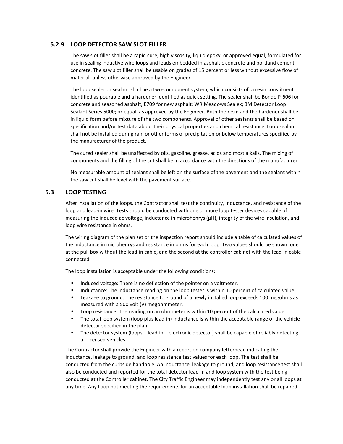## **5.2.9 LOOP DETECTOR SAW SLOT FILLER**

The saw slot filler shall be a rapid cure, high viscosity, liquid epoxy, or approved equal, formulated for use in sealing inductive wire loops and leads embedded in asphaltic concrete and portland cement concrete. The saw slot filler shall be usable on grades of 15 percent or less without excessive flow of material, unless otherwise approved by the Engineer.

The loop sealer or sealant shall be a two-component system, which consists of, a resin constituent identified as pourable and a hardener identified as quick setting. The sealer shall be Bondo P-606 for concrete and seasoned asphalt, E709 for new asphalt; WR Meadows Sealex; 3M Detector Loop Sealant Series 5000; or equal, as approved by the Engineer. Both the resin and the hardener shall be in liquid form before mixture of the two components. Approval of other sealants shall be based on specification and/or test data about their physical properties and chemical resistance. Loop sealant shall not be installed during rain or other forms of precipitation or below temperatures specified by the manufacturer of the product.

The cured sealer shall be unaffected by oils, gasoline, grease, acids and most alkalis. The mixing of components and the filling of the cut shall be in accordance with the directions of the manufacturer.

No measurable amount of sealant shall be left on the surface of the pavement and the sealant within the saw cut shall be level with the pavement surface.

#### **5.3 LOOP TESTING**

After installation of the loops, the Contractor shall test the continuity, inductance, and resistance of the loop and lead-in wire. Tests should be conducted with one or more loop tester devices capable of measuring the induced ac voltage, inductance in microhenrys (μH), integrity of the wire insulation, and loop wire resistance in ohms.

The wiring diagram of the plan set or the inspection report should include a table of calculated values of the inductance in microhenrys and resistance in ohms for each loop. Two values should be shown: one at the pull box without the lead-in cable, and the second at the controller cabinet with the lead-in cable connected.

The loop installation is acceptable under the following conditions:

- Induced voltage: There is no deflection of the pointer on a voltmeter.
- Inductance: The inductance reading on the loop tester is within 10 percent of calculated value.
- Leakage to ground: The resistance to ground of a newly installed loop exceeds 100 megohms as measured with a 500 volt (V) megohmmeter.
- Loop resistance: The reading on an ohmmeter is within 10 percent of the calculated value.
- The total loop system (loop plus lead-in) inductance is within the acceptable range of the vehicle detector specified in the plan.
- The detector system (loops + lead-in + electronic detector) shall be capable of reliably detecting all licensed vehicles.

The Contractor shall provide the Engineer with a report on company letterhead indicating the inductance, leakage to ground, and loop resistance test values for each loop. The test shall be conducted from the curbside handhole. An inductance, leakage to ground, and loop resistance test shall also be conducted and reported for the total detector lead-in and loop system with the test being conducted at the Controller cabinet. The City Traffic Engineer may independently test any or all loops at any time. Any Loop not meeting the requirements for an acceptable loop installation shall be repaired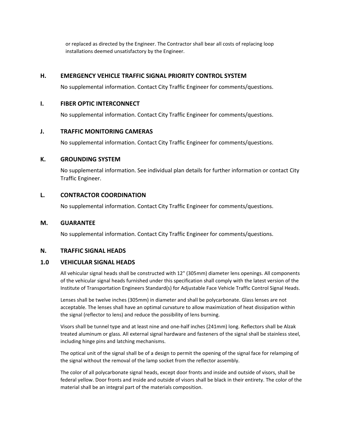or replaced as directed by the Engineer. The Contractor shall bear all costs of replacing loop installations deemed unsatisfactory by the Engineer.

#### **H. EMERGENCY VEHICLE TRAFFIC SIGNAL PRIORITY CONTROL SYSTEM**

No supplemental information. Contact City Traffic Engineer for comments/questions.

#### **I. FIBER OPTIC INTERCONNECT**

No supplemental information. Contact City Traffic Engineer for comments/questions.

#### **J. TRAFFIC MONITORING CAMERAS**

No supplemental information. Contact City Traffic Engineer for comments/questions.

#### **K. GROUNDING SYSTEM**

No supplemental information. See individual plan details for further information or contact City Traffic Engineer.

#### **L. CONTRACTOR COORDINATION**

No supplemental information. Contact City Traffic Engineer for comments/questions.

#### **M. GUARANTEE**

No supplemental information. Contact City Traffic Engineer for comments/questions.

#### **N. TRAFFIC SIGNAL HEADS**

## **1.0 VEHICULAR SIGNAL HEADS**

All vehicular signal heads shall be constructed with 12" (305mm) diameter lens openings. All components of the vehicular signal heads furnished under this specification shall comply with the latest version of the Institute of Transportation Engineers Standard(s) for Adjustable Face Vehicle Traffic Control Signal Heads.

Lenses shall be twelve inches (305mm) in diameter and shall be polycarbonate. Glass lenses are not acceptable. The lenses shall have an optimal curvature to allow maximization of heat dissipation within the signal (reflector to lens) and reduce the possibility of lens burning.

Visors shall be tunnel type and at least nine and one-half inches (241mm) long. Reflectors shall be Alzak treated aluminum or glass. All external signal hardware and fasteners of the signal shall be stainless steel, including hinge pins and latching mechanisms.

The optical unit of the signal shall be of a design to permit the opening of the signal face for relamping of the signal without the removal of the lamp socket from the reflector assembly.

The color of all polycarbonate signal heads, except door fronts and inside and outside of visors, shall be federal yellow. Door fronts and inside and outside of visors shall be black in their entirety. The color of the material shall be an integral part of the materials composition.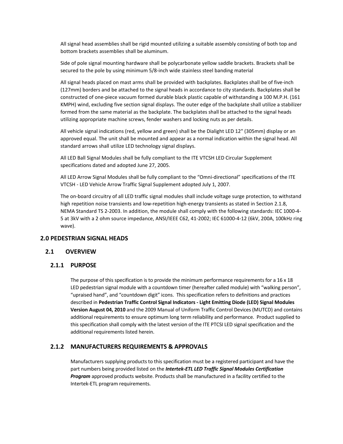All signal head assemblies shall be rigid mounted utilizing a suitable assembly consisting of both top and bottom brackets assemblies shall be aluminum.

Side of pole signal mounting hardware shall be polycarbonate yellow saddle brackets. Brackets shall be secured to the pole by using minimum 5/8-inch wide stainless steel banding material

All signal heads placed on mast arms shall be provided with backplates. Backplates shall be of five-inch (127mm) borders and be attached to the signal heads in accordance to city standards. Backplates shall be constructed of one-piece vacuum formed durable black plastic capable of withstanding a 100 M.P.H. (161 KMPH) wind, excluding five section signal displays. The outer edge of the backplate shall utilize a stabilizer formed from the same material as the backplate. The backplates shall be attached to the signal heads utilizing appropriate machine screws, fender washers and locking nuts as per details.

All vehicle signal indications (red, yellow and green) shall be the Dialight LED 12" (305mm) display or an approved equal. The unit shall be mounted and appear as a normal indication within the signal head. All standard arrows shall utilize LED technology signal displays.

All LED Ball Signal Modules shall be fully compliant to the ITE VTCSH LED Circular Supplement specifications dated and adopted June 27, 2005.

All LED Arrow Signal Modules shall be fully compliant to the "Omni-directional" specifications of the ITE VTCSH - LED Vehicle Arrow Traffic Signal Supplement adopted July 1, 2007.

The on-board circuitry of all LED traffic signal modules shall include voltage surge protection, to withstand high repetition noise transients and low-repetition high-energy transients as stated in Section 2.1.8, NEMA Standard TS 2-2003. In addition, the module shall comply with the following standards: IEC 1000-4- 5 at 3kV with a 2 ohm source impedance, ANSI/IEEE C62, 41-2002; IEC 61000-4-12 (6kV, 200A, 100kHz ring wave).

#### **2.0 PEDESTRIAN SIGNAL HEADS**

#### **2.1 OVERVIEW**

#### **2.1.1 PURPOSE**

The purpose of this specification is to provide the minimum performance requirements for a 16 x 18 LED pedestrian signal module with a countdown timer (hereafter called module) with "walking person", "upraised hand", and "countdown digit" icons. This specification refers to definitions and practices described in **Pedestrian Traffic Control Signal Indicators - Light Emitting Diode (LED) Signal Modules Version August 04, 2010** and the 2009 Manual of Uniform Traffic Control Devices (MUTCD) and contains additional requirements to ensure optimum long term reliability and performance. Product supplied to this specification shall comply with the latest version of the ITE PTCSI LED signal specification and the additional requirements listed herein.

#### **2.1.2 MANUFACTURERS REQUIREMENTS & APPROVALS**

Manufacturers supplying products to this specification must be a registered participant and have the part numbers being provided listed on the *Intertek-ETL LED Traffic Signal Modules Certification Program* approved products website. Products shall be manufactured in a facility certified to the Intertek-ETL program requirements.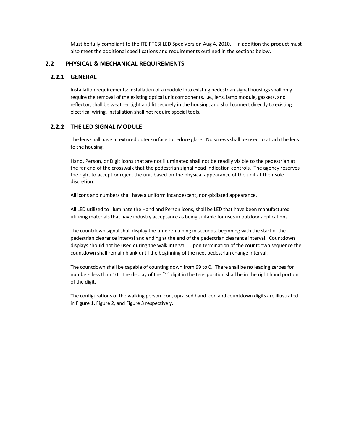Must be fully compliant to the ITE PTCSI LED Spec Version Aug 4, 2010. In addition the product must also meet the additional specifications and requirements outlined in the sections below.

#### **2.2 PHYSICAL & MECHANICAL REQUIREMENTS**

#### **2.2.1 GENERAL**

Installation requirements: Installation of a module into existing pedestrian signal housings shall only require the removal of the existing optical unit components, i.e., lens, lamp module, gaskets, and reflector; shall be weather tight and fit securely in the housing; and shall connect directly to existing electrical wiring. Installation shall not require special tools.

## **2.2.2 THE LED SIGNAL MODULE**

The lens shall have a textured outer surface to reduce glare. No screws shall be used to attach the lens to the housing.

Hand, Person, or Digit icons that are not illuminated shall not be readily visible to the pedestrian at the far end of the crosswalk that the pedestrian signal head indication controls. The agency reserves the right to accept or reject the unit based on the physical appearance of the unit at their sole discretion.

All icons and numbers shall have a uniform incandescent, non-pixilated appearance.

All LED utilized to illuminate the Hand and Person icons, shall be LED that have been manufactured utilizing materials that have industry acceptance as being suitable for uses in outdoor applications.

The countdown signal shall display the time remaining in seconds, beginning with the start of the pedestrian clearance interval and ending at the end of the pedestrian clearance interval. Countdown displays should not be used during the walk interval. Upon termination of the countdown sequence the countdown shall remain blank until the beginning of the next pedestrian change interval.

The countdown shall be capable of counting down from 99 to 0. There shall be no leading zeroes for numbers less than 10. The display of the "1" digit in the tens position shall be in the right hand portion of the digit.

The configurations of the walking person icon, upraised hand icon and countdown digits are illustrated in Figure 1, Figure 2, and Figure 3 respectively.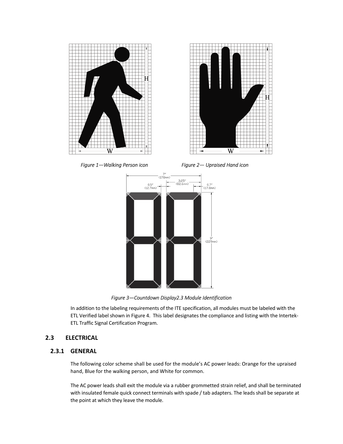



Figure 1—Walking Person icon **Figure 2— Upraised Hand icon** 



*Figure 3—Countdown Display2.3 Module Identification* 

In addition to the labeling requirements of the ITE specification, all modules must be labeled with the ETL Verified label shown in Figure 4. This label designates the compliance and listing with the Intertek-ETL Traffic Signal Certification Program.

## **2.3 ELECTRICAL**

## **2.3.1 GENERAL**

The following color scheme shall be used for the module's AC power leads: Orange for the upraised hand, Blue for the walking person, and White for common.

The AC power leads shall exit the module via a rubber grommetted strain relief, and shall be terminated with insulated female quick connect terminals with spade / tab adapters. The leads shall be separate at the point at which they leave the module.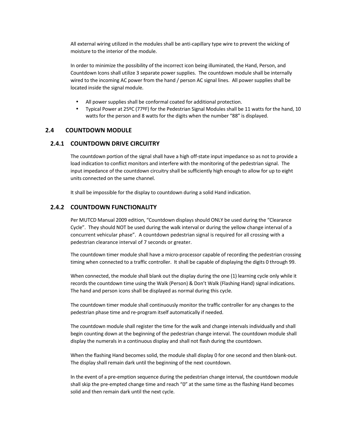All external wiring utilized in the modules shall be anti-capillary type wire to prevent the wicking of moisture to the interior of the module.

In order to minimize the possibility of the incorrect icon being illuminated, the Hand, Person, and Countdown Icons shall utilize 3 separate power supplies. The countdown module shall be internally wired to the incoming AC power from the hand / person AC signal lines. All power supplies shall be located inside the signal module.

- All power supplies shall be conformal coated for additional protection.
- Typical Power at 25ºC (77ºF) for the Pedestrian Signal Modules shall be 11 watts for the hand, 10 watts for the person and 8 watts for the digits when the number "88" is displayed.

## **2.4 COUNTDOWN MODULE**

#### **2.4.1 COUNTDOWN DRIVE CIRCUITRY**

The countdown portion of the signal shall have a high off-state input impedance so as not to provide a load indication to conflict monitors and interfere with the monitoring of the pedestrian signal. The input impedance of the countdown circuitry shall be sufficiently high enough to allow for up to eight units connected on the same channel.

It shall be impossible for the display to countdown during a solid Hand indication.

#### **2.4.2 COUNTDOWN FUNCTIONALITY**

Per MUTCD Manual 2009 edition, "Countdown displays should ONLY be used during the "Clearance Cycle". They should NOT be used during the walk interval or during the yellow change interval of a concurrent vehicular phase". A countdown pedestrian signal is required for all crossing with a pedestrian clearance interval of 7 seconds or greater.

The countdown timer module shall have a micro-processor capable of recording the pedestrian crossing timing when connected to a traffic controller. It shall be capable of displaying the digits 0 through 99.

When connected, the module shall blank out the display during the one (1) learning cycle only while it records the countdown time using the Walk (Person) & Don't Walk (Flashing Hand) signal indications. The hand and person icons shall be displayed as normal during this cycle.

The countdown timer module shall continuously monitor the traffic controller for any changes to the pedestrian phase time and re-program itself automatically if needed.

The countdown module shall register the time for the walk and change intervals individually and shall begin counting down at the beginning of the pedestrian change interval. The countdown module shall display the numerals in a continuous display and shall not flash during the countdown.

When the flashing Hand becomes solid, the module shall display 0 for one second and then blank-out. The display shall remain dark until the beginning of the next countdown.

In the event of a pre-emption sequence during the pedestrian change interval, the countdown module shall skip the pre-empted change time and reach "0" at the same time as the flashing Hand becomes solid and then remain dark until the next cycle.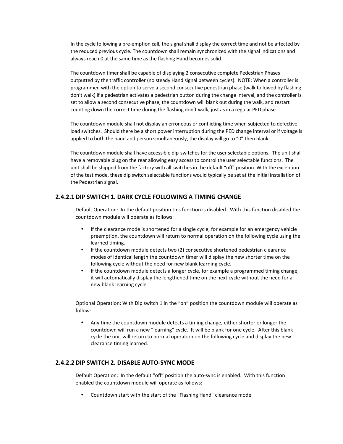In the cycle following a pre-emption call, the signal shall display the correct time and not be affected by the reduced previous cycle. The countdown shall remain synchronized with the signal indications and always reach 0 at the same time as the flashing Hand becomes solid.

The countdown timer shall be capable of displaying 2 consecutive complete Pedestrian Phases outputted by the traffic controller (no steady Hand signal between cycles). NOTE: When a controller is programmed with the option to serve a second consecutive pedestrian phase (walk followed by flashing don't walk) if a pedestrian activates a pedestrian button during the change interval, and the controller is set to allow a second consecutive phase, the countdown will blank out during the walk, and restart counting down the correct time during the flashing don't walk, just as in a regular PED phase.

The countdown module shall not display an erroneous or conflicting time when subjected to defective load switches. Should there be a short power interruption during the PED change interval or if voltage is applied to both the hand and person simultaneously, the display will go to "0" then blank.

The countdown module shall have accessible dip-switches for the user selectable options. The unit shall have a removable plug on the rear allowing easy access to control the user selectable functions. The unit shall be shipped from the factory with all switches in the default "off" position. With the exception of the test mode, these dip switch selectable functions would typically be set at the initial installation of the Pedestrian signal.

## **2.4.2.1 DIP SWITCH 1. DARK CYCLE FOLLOWING A TIMING CHANGE**

Default Operation: In the default position this function is disabled. With this function disabled the countdown module will operate as follows:

- If the clearance mode is shortened for a single cycle, for example for an emergency vehicle preemption, the countdown will return to normal operation on the following cycle using the learned timing.
- If the countdown module detects two (2) consecutive shortened pedestrian clearance modes of identical length the countdown timer will display the new shorter time on the following cycle without the need for new blank learning cycle.
- If the countdown module detects a longer cycle, for example a programmed timing change, it will automatically display the lengthened time on the next cycle without the need for a new blank learning cycle.

Optional Operation: With Dip switch 1 in the "on" position the countdown module will operate as follow:

• Any time the countdown module detects a timing change, either shorter or longer the countdown will run a new "learning" cycle. It will be blank for one cycle. After this blank cycle the unit will return to normal operation on the following cycle and display the new clearance timing learned.

#### **2.4.2.2 DIP SWITCH 2. DISABLE AUTO-SYNC MODE**

Default Operation: In the default "off" position the auto-sync is enabled. With this function enabled the countdown module will operate as follows:

• Countdown start with the start of the "Flashing Hand" clearance mode.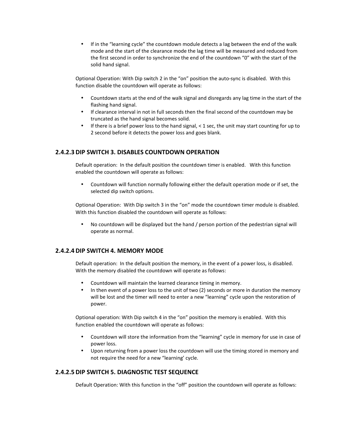• If in the "learning cycle" the countdown module detects a lag between the end of the walk mode and the start of the clearance mode the lag time will be measured and reduced from the first second in order to synchronize the end of the countdown "0" with the start of the solid hand signal.

Optional Operation: With Dip switch 2 in the "on" position the auto-sync is disabled. With this function disable the countdown will operate as follows:

- Countdown starts at the end of the walk signal and disregards any lag time in the start of the flashing hand signal.
- If clearance interval in not in full seconds then the final second of the countdown may be truncated as the hand signal becomes solid.
- If there is a brief power loss to the hand signal, < 1 sec, the unit may start counting for up to 2 second before it detects the power loss and goes blank.

#### **2.4.2.3 DIP SWITCH 3. DISABLES COUNTDOWN OPERATION**

Default operation: In the default position the countdown timer is enabled. With this function enabled the countdown will operate as follows:

• Countdown will function normally following either the default operation mode or if set, the selected dip switch options.

Optional Operation: With Dip switch 3 in the "on" mode the countdown timer module is disabled. With this function disabled the countdown will operate as follows:

• No countdown will be displayed but the hand / person portion of the pedestrian signal will operate as normal.

#### **2.4.2.4 DIP SWITCH 4. MEMORY MODE**

Default operation: In the default position the memory, in the event of a power loss, is disabled. With the memory disabled the countdown will operate as follows:

- Countdown will maintain the learned clearance timing in memory.
- In then event of a power loss to the unit of two (2) seconds or more in duration the memory will be lost and the timer will need to enter a new "learning" cycle upon the restoration of power.

Optional operation: With Dip switch 4 in the "on" position the memory is enabled. With this function enabled the countdown will operate as follows:

- Countdown will store the information from the "learning" cycle in memory for use in case of power loss.
- Upon returning from a power loss the countdown will use the timing stored in memory and not require the need for a new "learning' cycle.

#### **2.4.2.5 DIP SWITCH 5. DIAGNOSTIC TEST SEQUENCE**

Default Operation: With this function in the "off" position the countdown will operate as follows: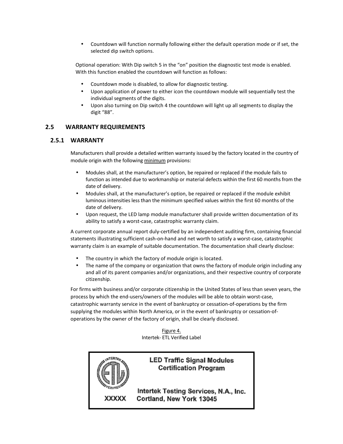• Countdown will function normally following either the default operation mode or if set, the selected dip switch options.

Optional operation: With Dip switch 5 in the "on" position the diagnostic test mode is enabled. With this function enabled the countdown will function as follows:

- Countdown mode is disabled, to allow for diagnostic testing.
- Upon application of power to either icon the countdown module will sequentially test the individual segments of the digits.
- Upon also turning on Dip switch 4 the countdown will light up all segments to display the digit "88".

## **2.5 WARRANTY REQUIREMENTS**

## **2.5.1 WARRANTY**

Manufacturers shall provide a detailed written warranty issued by the factory located in the country of module origin with the following minimum provisions:

- Modules shall, at the manufacturer's option, be repaired or replaced if the module fails to function as intended due to workmanship or material defects within the first 60 months from the date of delivery.
- Modules shall, at the manufacturer's option, be repaired or replaced if the module exhibit luminous intensities less than the minimum specified values within the first 60 months of the date of delivery.
- Upon request, the LED lamp module manufacturer shall provide written documentation of its ability to satisfy a worst-case, catastrophic warranty claim.

A current corporate annual report duly-certified by an independent auditing firm, containing financial statements illustrating sufficient cash-on-hand and net worth to satisfy a worst-case, catastrophic warranty claim is an example of suitable documentation. The documentation shall clearly disclose:

- The country in which the factory of module origin is located.
- The name of the company or organization that owns the factory of module origin including any and all of its parent companies and/or organizations, and their respective country of corporate citizenship.

For firms with business and/or corporate citizenship in the United States of less than seven years, the process by which the end-users/owners of the modules will be able to obtain worst-case, catastrophic warranty service in the event of bankruptcy or cessation-of-operations by the firm supplying the modules within North America, or in the event of bankruptcy or cessation-ofoperations by the owner of the factory of origin, shall be clearly disclosed.

> Figure 4. Intertek- ETL Verified Label



## **LED Traffic Signal Modules Certification Program**

Intertek Testing Services, N.A., Inc. Cortland, New York 13045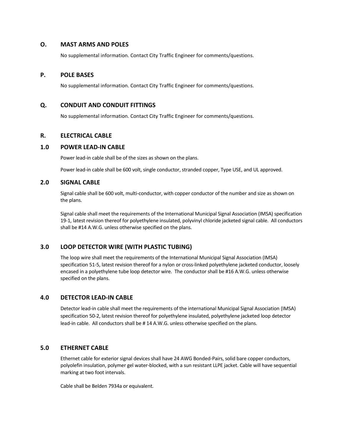#### **O. MAST ARMS AND POLES**

No supplemental information. Contact City Traffic Engineer for comments/questions.

#### **P. POLE BASES**

No supplemental information. Contact City Traffic Engineer for comments/questions.

#### **Q. CONDUIT AND CONDUIT FITTINGS**

No supplemental information. Contact City Traffic Engineer for comments/questions.

## **R. ELECTRICAL CABLE**

#### **1.0 POWER LEAD-IN CABLE**

Power lead-in cable shall be of the sizes as shown on the plans.

Power lead-in cable shall be 600 volt, single conductor, stranded copper, Type USE, and UL approved.

#### **2.0 SIGNAL CABLE**

Signal cable shall be 600 volt, multi-conductor, with copper conductor of the number and size as shown on the plans.

Signal cable shall meet the requirements of the International Municipal Signal Association (IMSA) specification 19-1, latest revision thereof for polyethylene insulated, polyvinyl chloride jacketed signal cable. All conductors shall be #14 A.W.G. unless otherwise specified on the plans.

## **3.0 LOOP DETECTOR WIRE (WITH PLASTIC TUBING)**

The loop wire shall meet the requirements of the International Municipal Signal Association (IMSA) specification 51-5, latest revision thereof for a nylon or cross-linked polyethylene jacketed conductor, loosely encased in a polyethylene tube loop detector wire. The conductor shall be #16 A.W.G. unless otherwise specified on the plans.

## **4.0 DETECTOR LEAD-IN CABLE**

Detector lead-in cable shall meet the requirements of the international Municipal Signal Association (IMSA) specification 50-2, latest revision thereof for polyethylene insulated, polyethylene jacketed loop detector lead-in cable. All conductors shall be # 14 A.W.G. unless otherwise specified on the plans.

#### **5.0 ETHERNET CABLE**

Ethernet cable for exterior signal devices shall have 24 AWG Bonded-Pairs, solid bare copper conductors, polyolefin insulation, polymer gel water-blocked, with a sun resistant LLPE jacket. Cable will have sequential marking at two foot intervals.

Cable shall be Belden 7934a or equivalent.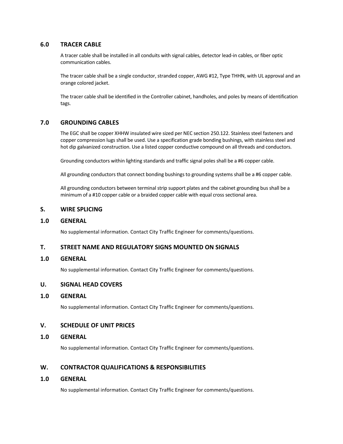## **6.0 TRACER CABLE**

A tracer cable shall be installed in all conduits with signal cables, detector lead-in cables, or fiber optic communication cables.

The tracer cable shall be a single conductor, stranded copper, AWG #12, Type THHN, with UL approval and an orange colored jacket.

The tracer cable shall be identified in the Controller cabinet, handholes, and poles by means of identification tags.

## **7.0 GROUNDING CABLES**

The EGC shall be copper XHHW insulated wire sized per NEC section 250.122. Stainless steel fasteners and copper compression lugs shall be used. Use a specification grade bonding bushings, with stainless steel and hot dip galvanized construction. Use a listed copper conductive compound on all threads and conductors.

Grounding conductors within lighting standards and traffic signal poles shall be a #6 copper cable.

All grounding conductors that connect bonding bushings to grounding systems shall be a #6 copper cable.

All grounding conductors between terminal strip support plates and the cabinet grounding bus shall be a minimum of a #10 copper cable or a braided copper cable with equal cross sectional area.

#### **S. WIRE SPLICING**

#### **1.0 GENERAL**

No supplemental information. Contact City Traffic Engineer for comments/questions.

#### **T. STREET NAME AND REGULATORY SIGNS MOUNTED ON SIGNALS**

#### **1.0 GENERAL**

No supplemental information. Contact City Traffic Engineer for comments/questions.

#### **U. SIGNAL HEAD COVERS**

#### **1.0 GENERAL**

No supplemental information. Contact City Traffic Engineer for comments/questions.

#### **V. SCHEDULE OF UNIT PRICES**

#### **1.0 GENERAL**

No supplemental information. Contact City Traffic Engineer for comments/questions.

## **W. CONTRACTOR QUALIFICATIONS & RESPONSIBILITIES**

#### **1.0 GENERAL**

No supplemental information. Contact City Traffic Engineer for comments/questions.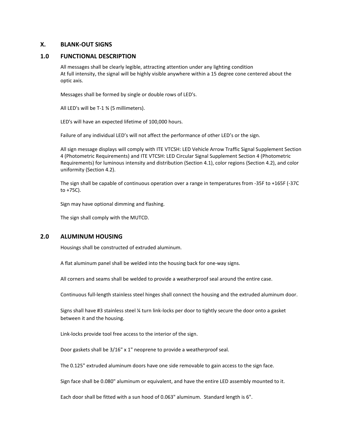#### **X. BLANK-OUT SIGNS**

#### **1.0 FUNCTIONAL DESCRIPTION**

All messages shall be clearly legible, attracting attention under any lighting condition At full intensity, the signal will be highly visible anywhere within a 15 degree cone centered about the optic axis.

Messages shall be formed by single or double rows of LED's.

All LED's will be T-1 ¾ (5 millimeters).

LED's will have an expected lifetime of 100,000 hours.

Failure of any individual LED's will not affect the performance of other LED's or the sign.

All sign message displays will comply with ITE VTCSH: LED Vehicle Arrow Traffic Signal Supplement Section 4 (Photometric Requirements) and ITE VTCSH: LED Circular Signal Supplement Section 4 (Photometric Requirements) for luminous intensity and distribution (Section 4.1), color regions (Section 4.2), and color uniformity (Section 4.2).

The sign shall be capable of continuous operation over a range in temperatures from -35F to +165F (-37C to +75C).

Sign may have optional dimming and flashing.

The sign shall comply with the MUTCD.

#### **2.0 ALUMINUM HOUSING**

Housings shall be constructed of extruded aluminum.

A flat aluminum panel shall be welded into the housing back for one-way signs.

All corners and seams shall be welded to provide a weatherproof seal around the entire case.

Continuous full-length stainless steel hinges shall connect the housing and the extruded aluminum door.

Signs shall have #3 stainless steel ¼ turn link-locks per door to tightly secure the door onto a gasket between it and the housing.

Link-locks provide tool free access to the interior of the sign.

Door gaskets shall be 3/16" x 1" neoprene to provide a weatherproof seal.

The 0.125" extruded aluminum doors have one side removable to gain access to the sign face.

Sign face shall be 0.080" aluminum or equivalent, and have the entire LED assembly mounted to it.

Each door shall be fitted with a sun hood of 0.063" aluminum. Standard length is 6".